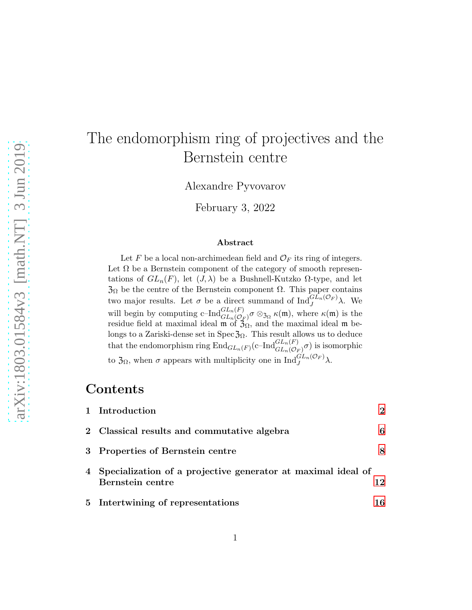# The endomorphism ring of projectives and the Bernstein centre

Alexandre Pyvovarov

February 3, 2022

#### Abstract

Let F be a local non-archimedean field and  $\mathcal{O}_F$  its ring of integers. Let  $\Omega$  be a Bernstein component of the category of smooth representations of  $GL_n(F)$ , let  $(J, \lambda)$  be a Bushnell-Kutzko  $\Omega$ -type, and let  $\mathfrak{Z}_{\Omega}$  be the centre of the Bernstein component  $\Omega$ . This paper contains two major results. Let  $\sigma$  be a direct summand of  $\text{Ind}_{J}^{GL_n(\mathcal{O}_F)} \lambda$ . We will begin by computing  $c\text{-Ind}_{GL_n(\mathcal{O}_F)}^{GL_n(F)}\sigma \otimes_{\mathfrak{Z}_{\Omega}} \kappa(\mathfrak{m})$ , where  $\kappa(\mathfrak{m})$  is the residue field at maximal ideal  $\mathfrak{m}$  of  $\mathfrak{Z}_{\Omega}$ , and the maximal ideal  $\mathfrak{m}$  belongs to a Zariski-dense set in Spec $\mathfrak{Z}_{\Omega}$ . This result allows us to deduce that the endomorphism ring  $\text{End}_{GL_n(F)}(c-\text{Ind}_{GL_n(\mathcal{O}_F)}^{GL_n(F)}\sigma)$  is isomorphic to  $\mathfrak{Z}_{\Omega}$ , when  $\sigma$  appears with multiplicity one in  $\text{Ind}_{J}^{GL_n(\mathcal{O}_F)}\lambda$ .

### Contents

| 1 Introduction                                                                     | $\mathcal{D}_{\mathcal{L}}$ |
|------------------------------------------------------------------------------------|-----------------------------|
| 2 Classical results and commutative algebra                                        | 6                           |
| 3 Properties of Bernstein centre                                                   | 8                           |
| 4 Specialization of a projective generator at maximal ideal of<br>Bernstein centre | 12                          |
| 5 Intertwining of representations                                                  | 16                          |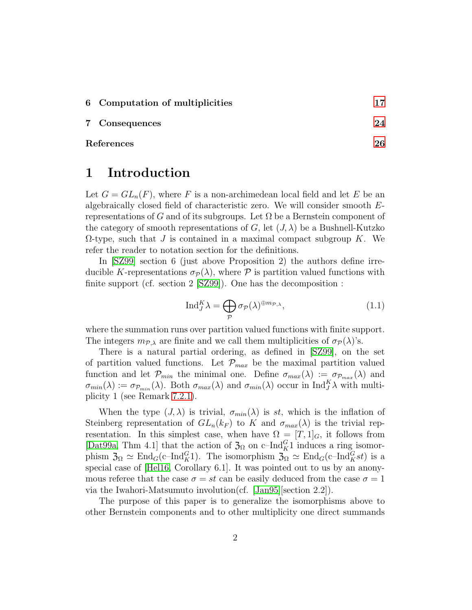|  |  | 6 Computation of multiplicities |  |  |
|--|--|---------------------------------|--|--|
|--|--|---------------------------------|--|--|

7 Consequences [24](#page-23-0)

<span id="page-1-0"></span>References [26](#page-25-0)

### 1 Introduction

Let  $G = GL_n(F)$ , where F is a non-archimedean local field and let E be an algebraically closed field of characteristic zero. We will consider smooth Erepresentations of G and of its subgroups. Let  $\Omega$  be a Bernstein component of the category of smooth representations of G, let  $(J, \lambda)$  be a Bushnell-Kutzko  $\Omega$ -type, such that J is contained in a maximal compact subgroup K. We refer the reader to notation section for the definitions.

In [\[SZ99\]](#page-28-0) section 6 (just above Proposition 2) the authors define irreducible K-representations  $\sigma_{\mathcal{P}}(\lambda)$ , where P is partition valued functions with finite support (cf. section 2 [\[SZ99\]](#page-28-0)). One has the decomposition :

<span id="page-1-1"></span>
$$
\operatorname{Ind}_{J}^{K} \lambda = \bigoplus_{\mathcal{P}} \sigma_{\mathcal{P}}(\lambda)^{\oplus m_{\mathcal{P},\lambda}},\tag{1.1}
$$

where the summation runs over partition valued functions with finite support. The integers  $m_{\mathcal{P},\lambda}$  are finite and we call them multiplicities of  $\sigma_{\mathcal{P}}(\lambda)$ 's.

There is a natural partial ordering, as defined in [\[SZ99\]](#page-28-0), on the set of partition valued functions. Let  $\mathcal{P}_{max}$  be the maximal partition valued function and let  $\mathcal{P}_{min}$  the minimal one. Define  $\sigma_{max}(\lambda) := \sigma_{\mathcal{P}_{max}}(\lambda)$  and  $\sigma_{min}(\lambda) := \sigma_{\mathcal{P}_{min}}(\lambda)$ . Both  $\sigma_{max}(\lambda)$  and  $\sigma_{min}(\lambda)$  occur in Ind $_{J}^{K}\lambda$  with multiplicity 1 (see Remark [7.2.1\)](#page-25-1).

When the type  $(J, \lambda)$  is trivial,  $\sigma_{min}(\lambda)$  is st, which is the inflation of Steinberg representation of  $GL_n(k_F)$  to K and  $\sigma_{max}(\lambda)$  is the trivial representation. In this simplest case, when have  $\Omega = [T, 1]_G$ , it follows from [\[Dat99a,](#page-27-0) Thm 4.1] that the action of  $\mathfrak{Z}_{\Omega}$  on c–Ind ${}_{\text{K}}^{G}$ 1 induces a ring isomorphism  $\mathfrak{Z}_\Omega \simeq \text{End}_G(\text{c-Ind}_K^G)$ . The isomorphism  $\mathfrak{Z}_\Omega \simeq \text{End}_G(\text{c-Ind}_K^G st)$  is a special case of [\[Hel16,](#page-27-1) Corollary 6.1]. It was pointed out to us by an anonymous referee that the case  $\sigma = st$  can be easily deduced from the case  $\sigma = 1$ via the Iwahori-Matsumuto involution(cf. [\[Jan95\]](#page-27-2)[section 2.2]).

The purpose of this paper is to generalize the isomorphisms above to other Bernstein components and to other multiplicity one direct summands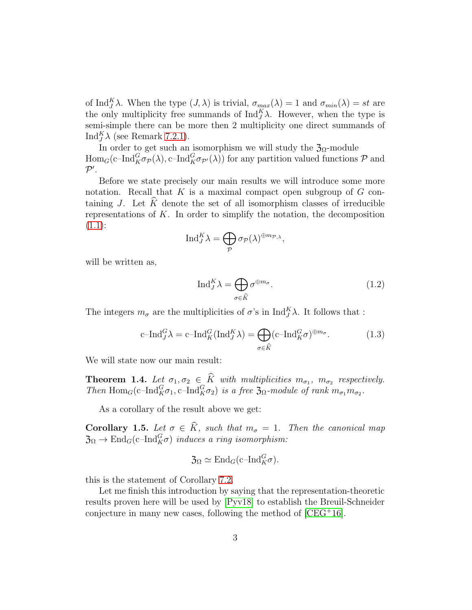of Ind<sup>K</sup> $\lambda$ . When the type  $(J, \lambda)$  is trivial,  $\sigma_{max}(\lambda) = 1$  and  $\sigma_{min}(\lambda) = st$  are the only multiplicity free summands of  $\text{Ind}_{J}^{K} \lambda$ . However, when the type is semi-simple there can be more then 2 multiplicity one direct summands of Ind<sup>K</sup> $\lambda$  (see Remark [7.2.1\)](#page-25-1).

In order to get such an isomorphism we will study the  $\mathfrak{Z}_{\Omega}$ -module  $\text{Hom}_G(\text{c-Ind}_{K}^G \sigma_{\mathcal{P}}(\lambda), \text{c-Ind}_{K}^G \sigma_{\mathcal{P}'}(\lambda))$  for any partition valued functions  $\mathcal{P}$  and  $\mathcal{P}^{\prime}$ .

Before we state precisely our main results we will introduce some more notation. Recall that K is a maximal compact open subgroup of  $G$  containing J. Let  $\hat{K}$  denote the set of all isomorphism classes of irreducible representations of  $K$ . In order to simplify the notation, the decomposition  $(1.1):$  $(1.1):$ 

$$
\mathrm{Ind}_{J}^{K} \lambda = \bigoplus_{\mathcal{P}} \sigma_{\mathcal{P}}(\lambda)^{\oplus m_{\mathcal{P},\lambda}},
$$

will be written as,

<span id="page-2-0"></span>
$$
\operatorname{Ind}_{J}^{K} \lambda = \bigoplus_{\sigma \in \widehat{K}} \sigma^{\oplus m_{\sigma}}.
$$
 (1.2)

The integers  $m_{\sigma}$  are the multiplicities of  $\sigma$ 's in  $\text{Ind}_{J}^{K} \lambda$ . It follows that :

<span id="page-2-1"></span>
$$
c\text{-Ind}_{J}^{G} \lambda = c\text{-Ind}_{K}^{G} (\text{Ind}_{J}^{K} \lambda) = \bigoplus_{\sigma \in \hat{K}} (c\text{-Ind}_{K}^{G} \sigma)^{\oplus m_{\sigma}}.
$$
 (1.3)

We will state now our main result:

**Theorem 1.4.** Let  $\sigma_1, \sigma_2 \in K$  with multiplicities  $m_{\sigma_1}, m_{\sigma_2}$  respectively. *Then*  $\text{Hom}_G(c\text{-}\text{Ind}_K^G\sigma_1, c\text{-}\text{Ind}_K^G\sigma_2)$  *is a free*  $\mathfrak{Z}_{\Omega}$ *-module of rank*  $m_{\sigma_1}m_{\sigma_2}$ *.* 

As a corollary of the result above we get:

**Corollary 1.5.** Let  $\sigma \in K$ *, such that*  $m_{\sigma} = 1$ *. Then the canonical map*  $\mathfrak{Z}_{\Omega} \to \text{End}_{G}(\text{c-Ind}_{K}^{G} \sigma)$  *induces a ring isomorphism:* 

$$
\mathfrak{Z}_{\Omega} \simeq \mathrm{End}_G(\mathrm{c\text{--} Ind}_{K}^{G} \sigma).
$$

this is the statement of Corollary [7.2.](#page-25-2)

Let me finish this introduction by saying that the representation-theoretic results proven here will be used by [\[Pyv18\]](#page-28-1) to establish the Breuil-Schneider conjecture in many new cases, following the method of  $[CEG^+16]$ .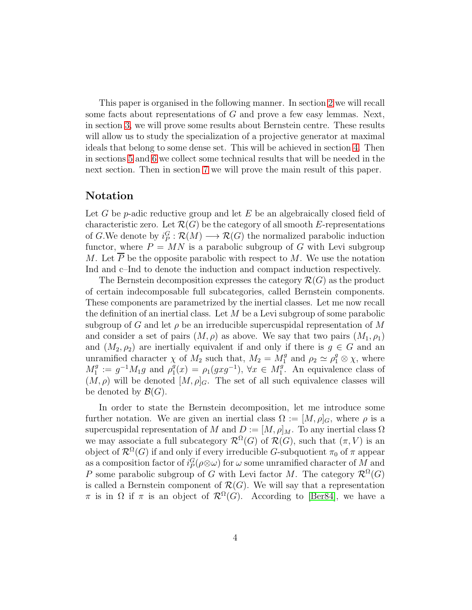This paper is organised in the following manner. In section [2](#page-5-0) we will recall some facts about representations of G and prove a few easy lemmas. Next, in section [3,](#page-7-0) we will prove some results about Bernstein centre. These results will allow us to study the specialization of a projective generator at maximal ideals that belong to some dense set. This will be achieved in section [4.](#page-11-0) Then in sections [5](#page-15-0) and [6](#page-16-0) we collect some technical results that will be needed in the next section. Then in section [7](#page-23-0) we will prove the main result of this paper.

### Notation

Let G be p-adic reductive group and let  $E$  be an algebraically closed field of characteristic zero. Let  $\mathcal{R}(G)$  be the category of all smooth E-representations of G.We denote by  $i_P^G : \mathcal{R}(M) \longrightarrow \mathcal{R}(G)$  the normalized parabolic induction functor, where  $P = MN$  is a parabolic subgroup of G with Levi subgroup M. Let  $\overline{P}$  be the opposite parabolic with respect to M. We use the notation Ind and c–Ind to denote the induction and compact induction respectively.

The Bernstein decomposition expresses the category  $\mathcal{R}(G)$  as the product of certain indecomposable full subcategories, called Bernstein components. These components are parametrized by the inertial classes. Let me now recall the definition of an inertial class. Let  $M$  be a Levi subgroup of some parabolic subgroup of G and let  $\rho$  be an irreducible supercuspidal representation of M and consider a set of pairs  $(M, \rho)$  as above. We say that two pairs  $(M_1, \rho_1)$ and  $(M_2, \rho_2)$  are inertially equivalent if and only if there is  $g \in G$  and an unramified character  $\chi$  of  $M_2$  such that,  $M_2 = M_1^g$  and  $\rho_2 \simeq \rho_1^g \otimes \chi$ , where  $M_1^g := g^{-1} M_1 g$  and  $\rho_1^g$  $P_1(x) = \rho_1(gxg^{-1}), \forall x \in M_1^g$ . An equivalence class of  $(M, \rho)$  will be denoted  $[M, \rho]_G$ . The set of all such equivalence classes will be denoted by  $\mathcal{B}(G)$ .

In order to state the Bernstein decomposition, let me introduce some further notation. We are given an inertial class  $\Omega := [M, \rho]_G$ , where  $\rho$  is a supercuspidal representation of M and  $D := [M, \rho]_M$ . To any inertial class  $\Omega$ we may associate a full subcategory  $\mathcal{R}^{\Omega}(G)$  of  $\mathcal{R}(G)$ , such that  $(\pi, V)$  is an object of  $\mathcal{R}^{\Omega}(G)$  if and only if every irreducible G-subquotient  $\pi_0$  of  $\pi$  appear as a composition factor of  $i_P^G(\rho \otimes \omega)$  for  $\omega$  some unramified character of  $M$  and P some parabolic subgroup of G with Levi factor M. The category  $\mathcal{R}^{\Omega}(G)$ is called a Bernstein component of  $\mathcal{R}(G)$ . We will say that a representation  $\pi$  is in  $\Omega$  if  $\pi$  is an object of  $\mathcal{R}^{\Omega}(G)$ . According to [\[Ber84\]](#page-25-3), we have a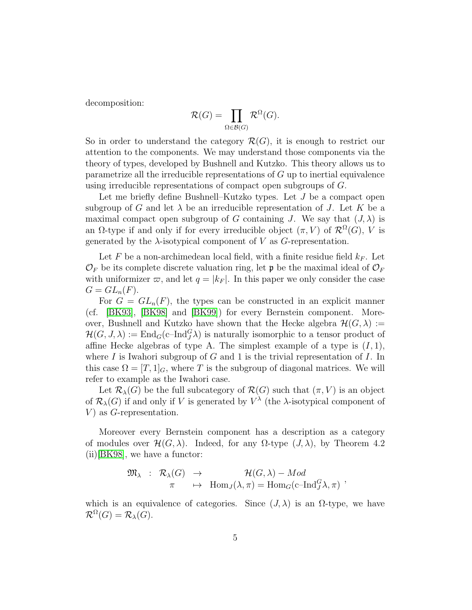decomposition:

$$
\mathcal{R}(G) = \prod_{\Omega \in \mathcal{B}(G)} \mathcal{R}^{\Omega}(G).
$$

So in order to understand the category  $\mathcal{R}(G)$ , it is enough to restrict our attention to the components. We may understand those components via the theory of types, developed by Bushnell and Kutzko. This theory allows us to parametrize all the irreducible representations of  $G$  up to inertial equivalence using irreducible representations of compact open subgroups of G.

Let me briefly define Bushnell–Kutzko types. Let J be a compact open subgroup of G and let  $\lambda$  be an irreducible representation of J. Let K be a maximal compact open subgroup of G containing J. We say that  $(J, \lambda)$  is an  $\Omega$ -type if and only if for every irreducible object  $(\pi, V)$  of  $\mathcal{R}^{\Omega}(G)$ , V is generated by the  $\lambda$ -isotypical component of V as G-representation.

Let F be a non-archimedean local field, with a finite residue field  $k_F$ . Let  $\mathcal{O}_F$  be its complete discrete valuation ring, let p be the maximal ideal of  $\mathcal{O}_F$ with uniformizer  $\varpi$ , and let  $q = |k_F|$ . In this paper we only consider the case  $G = GL_n(F)$ .

For  $G = GL_n(F)$ , the types can be constructed in an explicit manner (cf. [\[BK93\]](#page-26-0), [\[BK98\]](#page-26-1) and [\[BK99\]](#page-26-2)) for every Bernstein component. Moreover, Bushnell and Kutzko have shown that the Hecke algebra  $\mathcal{H}(G,\lambda) :=$  $\mathcal{H}(G, J, \lambda) := \text{End}_G(\text{c-Ind}_{J}^G \lambda)$  is naturally isomorphic to a tensor product of affine Hecke algebras of type A. The simplest example of a type is  $(I, 1)$ , where I is Iwahori subgroup of G and 1 is the trivial representation of I. In this case  $\Omega = [T, 1]_G$ , where T is the subgroup of diagonal matrices. We will refer to example as the Iwahori case.

Let  $\mathcal{R}_{\lambda}(G)$  be the full subcategory of  $\mathcal{R}(G)$  such that  $(\pi, V)$  is an object of  $\mathcal{R}_{\lambda}(G)$  if and only if V is generated by  $V^{\lambda}$  (the  $\lambda$ -isotypical component of V) as  $G$ -representation.

Moreover every Bernstein component has a description as a category of modules over  $\mathcal{H}(G,\lambda)$ . Indeed, for any  $\Omega$ -type  $(J,\lambda)$ , by Theorem 4.2 (ii)[\[BK98\]](#page-26-1), we have a functor:

$$
\mathfrak{M}_{\lambda} : \mathcal{R}_{\lambda}(G) \rightarrow \mathcal{H}(G, \lambda) - Mod \pi \mapsto \text{Hom}_{J}(\lambda, \pi) = \text{Hom}_{G}(\text{c-Ind}_{J}^{G} \lambda, \pi) ,
$$

which is an equivalence of categories. Since  $(J, \lambda)$  is an  $\Omega$ -type, we have  $\mathcal{R}^{\Omega}(G) = \mathcal{R}_{\lambda}(G).$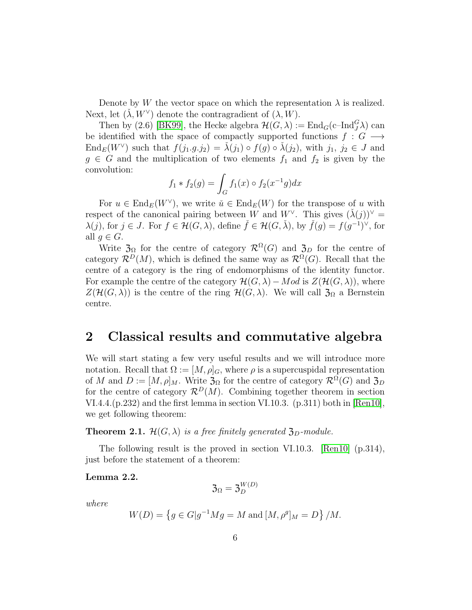Denote by W the vector space on which the representation  $\lambda$  is realized. Next, let  $(\check{\lambda}, W^{\vee})$  denote the contragradient of  $(\lambda, W)$ .

Then by (2.6) [\[BK99\]](#page-26-2), the Hecke algebra  $\mathcal{H}(G,\lambda) := \text{End}_G(\text{c-Ind}_J^G \lambda)$  can be identified with the space of compactly supported functions  $f : G \longrightarrow$  $\text{End}_E(W^{\vee})$  such that  $f(j_1.g.j_2) = \tilde{\lambda}(j_1) \circ f(g) \circ \tilde{\lambda}(j_2)$ , with  $j_1, j_2 \in J$  and  $g \in G$  and the multiplication of two elements  $f_1$  and  $f_2$  is given by the convolution:

$$
f_1 * f_2(g) = \int_G f_1(x) \circ f_2(x^{-1}g) dx
$$

For  $u \in \text{End}_E(W^{\vee})$ , we write  $\check{u} \in \text{End}_E(W)$  for the transpose of u with respect of the canonical pairing between W and W<sup>V</sup>. This gives  $(\check{\lambda}(j))^{\vee} =$  $\lambda(j)$ , for  $j \in J$ . For  $f \in \mathcal{H}(G,\lambda)$ , define  $\check{f} \in \mathcal{H}(G,\check{\lambda})$ , by  $\check{f}(g) = f(g^{-1})^{\vee}$ , for all  $g \in G$ .

Write  $\mathfrak{Z}_{\Omega}$  for the centre of category  $\mathcal{R}^{\Omega}(G)$  and  $\mathfrak{Z}_{D}$  for the centre of category  $\mathcal{R}^D(M)$ , which is defined the same way as  $\mathcal{R}^{\Omega}(G)$ . Recall that the centre of a category is the ring of endomorphisms of the identity functor. For example the centre of the category  $\mathcal{H}(G,\lambda) - Mod$  is  $Z(\mathcal{H}(G,\lambda))$ , where  $Z(\mathcal{H}(G,\lambda))$  is the centre of the ring  $\mathcal{H}(G,\lambda)$ . We will call  $\mathfrak{Z}_{\Omega}$  a Bernstein centre.

## <span id="page-5-0"></span>2 Classical results and commutative algebra

We will start stating a few very useful results and we will introduce more notation. Recall that  $\Omega := [M, \rho]_G$ , where  $\rho$  is a supercuspidal representation of M and  $D := [M, \rho]_M$ . Write  $\mathfrak{Z}_{\Omega}$  for the centre of category  $\mathcal{R}^{\Omega}(G)$  and  $\mathfrak{Z}_{D}$ for the centre of category  $\mathcal{R}^D(M)$ . Combining together theorem in section VI.4.4. $(p.232)$  and the first lemma in section VI.10.3.  $(p.311)$  both in  $\lbrack \text{Ren10} \rbrack$ , we get following theorem:

<span id="page-5-1"></span>**Theorem 2.1.**  $\mathcal{H}(G,\lambda)$  *is a free finitely generated*  $\mathfrak{Z}_D$ *-module.* 

The following result is the proved in section VI.10.3. [\[Ren10\]](#page-28-2) (p.314), just before the statement of a theorem:

Lemma 2.2.

$$
\mathfrak{Z}_{\Omega}=\mathfrak{Z}_{D}^{W(D)}
$$

*where*

$$
W(D) = \{ g \in G | g^{-1}Mg = M \text{ and } [M, \rho^g]_M = D \} / M.
$$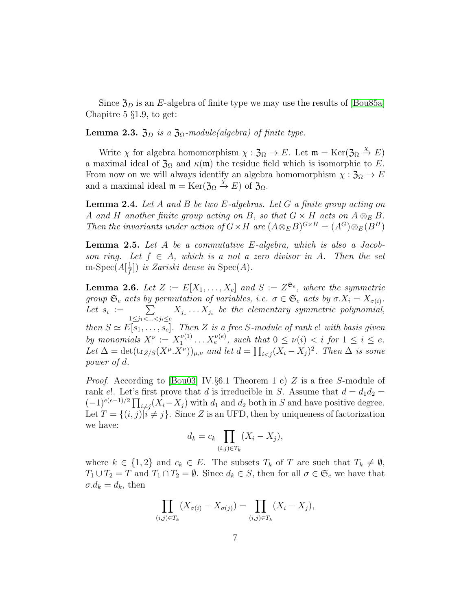Since  $\mathfrak{Z}_D$  is an E-algebra of finite type we may use the results of [\[Bou85a\]](#page-26-3) Chapitre 5 §1.9, to get:

Lemma 2.3.  $\mathfrak{Z}_D$  *is a*  $\mathfrak{Z}_{\Omega}$ -module(algebra) of finite type.

Write  $\chi$  for algebra homomorphism  $\chi : \mathfrak{Z}_{\Omega} \to E$ . Let  $\mathfrak{m} = \text{Ker}(\mathfrak{Z}_{\Omega} \stackrel{\chi}{\to} E)$ a maximal ideal of  $\mathfrak{Z}_\Omega$  and  $\kappa(\mathfrak{m})$  the residue field which is isomorphic to E. From now on we will always identify an algebra homomorphism  $\chi : \mathfrak{Z}_{\Omega} \to E$ and a maximal ideal  $\mathfrak{m} = \text{Ker}(\mathfrak{Z}_{\Omega} \stackrel{\chi}{\to} E)$  of  $\mathfrak{Z}_{\Omega}$ .

<span id="page-6-2"></span>Lemma 2.4. *Let* A *and* B *be two* E*-algebras. Let* G *a finite group acting on* A and H another finite group acting on B, so that  $G \times H$  acts on  $A \otimes_E B$ . *Then the invariants under action of*  $G \times H$  *are*  $(A \otimes_E B)^{G \times H} = (A^G) \otimes_E (B^H)$ 

<span id="page-6-1"></span>Lemma 2.5. *Let* A *be a commutative* E*-algebra, which is also a Jacobson ring.* Let  $f \in A$ , which is a not a zero divisor in A. Then the set m-Spec $(A[\frac{1}{f}$  $\left(\frac{1}{f}\right]$ ) *is Zariski dense in* Spec $(A)$ *.* 

<span id="page-6-0"></span>**Lemma 2.6.** Let  $Z := E[X_1, \ldots, X_e]$  and  $S := Z^{\mathfrak{S}_e}$ , where the symmetric *group*  $\mathfrak{S}_e$  *acts by permutation of variables, i.e.*  $\sigma \in \mathfrak{S}_e$  *acts by*  $\sigma$ . $X_i = X_{\sigma(i)}$ . Let  $s_i := \sum$  $1 \leq j_1 < ... < j_i \leq e$  $X_{j_1} \ldots X_{j_i}$  be the elementary symmetric polynomial, *then*  $S \simeq E[s_1, \ldots, s_e]$ *. Then* Z *is a free* S-module of rank e! with basis given by monomials  $X^{\nu} := X_1^{\nu(1)}$  $X_1^{\nu(1)} \dots X_e^{\nu(e)}$ , such that  $0 \le \nu(i) < i$  for  $1 \le i \le e$ . Let  $\Delta = \det(\text{tr}_{Z/S}(X^{\mu}.\overline{X^{\nu}}))_{\mu,\nu}$  and let  $d = \prod_{i < j} (X_i - \overline{X}_j)^2$ . Then  $\Delta$  is some *power of* d*.*

*Proof.* According to [\[Bou03\]](#page-26-4) IV.§6.1 Theorem 1 c) Z is a free S-module of rank e!. Let's first prove that d is irreducible in S. Assume that  $d = d_1 d_2 =$  $(-1)^{e(e-1)/2} \prod_{i \neq j} (X_i - X_j)$  with  $d_1$  and  $d_2$  both in S and have positive degree. Let  $T = \{(i, j)|i \neq j\}$ . Since Z is an UFD, then by uniqueness of factorization we have:

$$
d_k = c_k \prod_{(i,j)\in T_k} (X_i - X_j),
$$

where  $k \in \{1,2\}$  and  $c_k \in E$ . The subsets  $T_k$  of T are such that  $T_k \neq \emptyset$ ,  $T_1 \cup T_2 = T$  and  $T_1 \cap T_2 = \emptyset$ . Since  $d_k \in S$ , then for all  $\sigma \in \mathfrak{S}_e$  we have that  $\sigma.d_k = d_k$ , then

$$
\prod_{(i,j)\in T_k} (X_{\sigma(i)} - X_{\sigma(j)}) = \prod_{(i,j)\in T_k} (X_i - X_j),
$$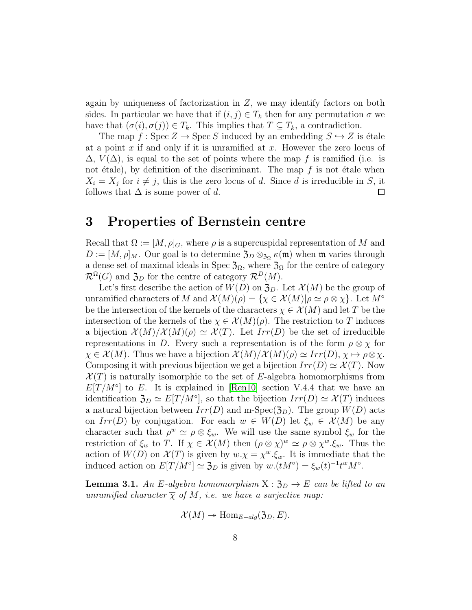again by uniqueness of factorization in  $Z$ , we may identify factors on both sides. In particular we have that if  $(i, j) \in T_k$  then for any permutation  $\sigma$  we have that  $(\sigma(i), \sigma(j)) \in T_k$ . This implies that  $T \subseteq T_k$ , a contradiction.

The map  $f : \text{Spec } Z \to \text{Spec } S$  induced by an embedding  $S \hookrightarrow Z$  is étale at a point  $x$  if and only if it is unramified at  $x$ . However the zero locus of  $\Delta$ ,  $V(\Delta)$ , is equal to the set of points where the map f is ramified (i.e. is not étale), by definition of the discriminant. The map  $f$  is not étale when  $X_i = X_j$  for  $i \neq j$ , this is the zero locus of d. Since d is irreducible in S, it follows that  $\Delta$  is some power of d.  $\Box$ 

## <span id="page-7-0"></span>3 Properties of Bernstein centre

Recall that  $\Omega := [M, \rho]_G$ , where  $\rho$  is a supercuspidal representation of M and  $D := [M, \rho]_M$ . Our goal is to determine  $\mathfrak{Z}_D \otimes_{\mathfrak{Z}_\Omega} \kappa(\mathfrak{m})$  when  $\mathfrak{m}$  varies through a dense set of maximal ideals in Spec  $\mathfrak{Z}_{\Omega}$ , where  $\mathfrak{Z}_{\Omega}$  for the centre of category  $\mathcal{R}^{\Omega}(G)$  and  $\mathfrak{Z}_D$  for the centre of category  $\mathcal{R}^D(M)$ .

Let's first describe the action of  $W(D)$  on  $\mathfrak{Z}_D$ . Let  $\mathcal{X}(M)$  be the group of unramified characters of M and  $\mathcal{X}(M)(\rho) = \{ \chi \in \mathcal{X}(M) | \rho \simeq \rho \otimes \chi \}$ . Let  $M^{\circ}$ be the intersection of the kernels of the characters  $\chi \in \mathcal{X}(M)$  and let T be the intersection of the kernels of the  $\chi \in \mathcal{X}(M)(\rho)$ . The restriction to T induces a bijection  $\mathcal{X}(M)/\mathcal{X}(M)(\rho) \simeq \mathcal{X}(T)$ . Let  $Irr(D)$  be the set of irreducible representations in D. Every such a representation is of the form  $\rho \otimes \chi$  for  $\chi \in \mathcal{X}(M)$ . Thus we have a bijection  $\mathcal{X}(M)/\mathcal{X}(M)(\rho) \simeq Irr(D), \chi \mapsto \rho \otimes \chi$ . Composing it with previous bijection we get a bijection  $Irr(D) \simeq \mathcal{X}(T)$ . Now  $\mathcal{X}(T)$  is naturally isomorphic to the set of E-algebra homomorphisms from  $E[T/M°]$  to E. It is explained in [\[Ren10\]](#page-28-2) section V.4.4 that we have an identification  $\mathfrak{Z}_D \simeq E[T/M^\circ]$ , so that the bijection  $Irr(D) \simeq \mathcal{X}(T)$  induces a natural bijection between  $Irr(D)$  and m-Spec( $\mathfrak{Z}_D$ ). The group  $W(D)$  acts on  $Irr(D)$  by conjugation. For each  $w \in W(D)$  let  $\xi_w \in \mathcal{X}(M)$  be any character such that  $\rho^w \simeq \rho \otimes \xi_w$ . We will use the same symbol  $\xi_w$  for the restriction of  $\xi_w$  to T. If  $\chi \in \mathcal{X}(M)$  then  $(\rho \otimes \chi)^w \simeq \rho \otimes \chi^w \cdot \xi_w$ . Thus the action of  $W(D)$  on  $\mathcal{X}(T)$  is given by  $w \cdot \chi = \chi^w \cdot \xi_w$ . It is immediate that the induced action on  $E[T/M^{\circ}] \simeq \mathfrak{Z}_D$  is given by  $w.(tM^{\circ}) = \xi_w(t)^{-1} t^w M^{\circ}$ .

<span id="page-7-1"></span>**Lemma 3.1.** An E-algebra homomorphism  $X : \mathfrak{Z}_D \to E$  can be lifted to an *unramified character*  $\overline{\chi}$  *of*  $M$ *, i.e. we have a surjective map:* 

$$
\mathcal{X}(M) \twoheadrightarrow \text{Hom}_{E-alg}(\mathfrak{Z}_D, E).
$$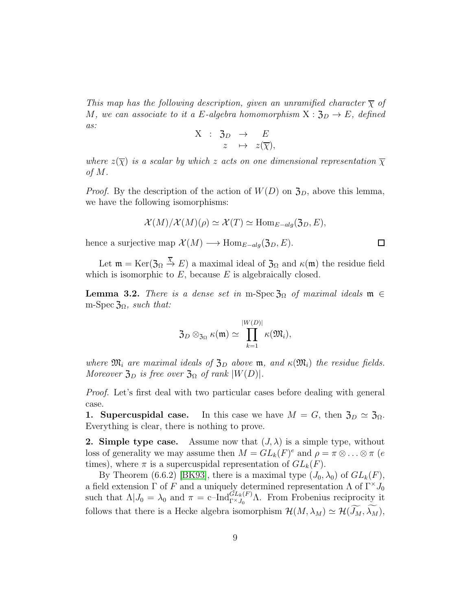*This map has the following description, given an unramified character*  $\overline{\chi}$  *of* M, we can associate to it a E-algebra homomorphism  $X : \mathfrak{Z}_D \to E$ , defined *as:*

$$
\begin{array}{rrcl} \mathrm{X} & : & \mathfrak{Z}_{D} & \rightarrow & E \\ & z & \mapsto & z(\overline{\chi}), \end{array}
$$

*where*  $z(\overline{\chi})$  *is a scalar by which* z *acts on one dimensional representation*  $\overline{\chi}$ *of* M*.*

*Proof.* By the description of the action of  $W(D)$  on  $\mathfrak{Z}_D$ , above this lemma, we have the following isomorphisms:

$$
\mathcal{X}(M)/\mathcal{X}(M)(\rho) \simeq \mathcal{X}(T) \simeq \text{Hom}_{E-alg}(\mathfrak{Z}_D, E),
$$

 $\Box$ 

hence a surjective map  $\mathcal{X}(M) \longrightarrow \text{Hom}_{E-alq}(\mathfrak{Z}_D, E)$ .

Let  $\mathfrak{m} = \text{Ker}(\mathfrak{Z}_\Omega \xrightarrow{\overline{\chi}} E)$  a maximal ideal of  $\mathfrak{Z}_\Omega$  and  $\kappa(\mathfrak{m})$  the residue field which is isomorphic to  $E$ , because  $E$  is algebraically closed.

<span id="page-8-0"></span>**Lemma 3.2.** *There is a dense set in* m-Spec  $\mathfrak{Z}_{\Omega}$  *of maximal ideals*  $\mathfrak{m} \in$ m-Spec  $\mathfrak{Z}_{\Omega}$ *, such that:* 

$$
\mathfrak{Z}_D \otimes_{\mathfrak{Z}_{\Omega}} \kappa(\mathfrak{m}) \simeq \prod_{k=1}^{|W(D)|} \kappa(\mathfrak{M}_i),
$$

*where*  $\mathfrak{M}_i$  *are maximal ideals of*  $\mathfrak{Z}_D$  *above* **m***, and*  $\kappa(\mathfrak{M}_i)$  *the residue fields. Moreover*  $\mathfrak{Z}_D$  *is free over*  $\mathfrak{Z}_\Omega$  *of rank*  $|W(D)|$ *.* 

*Proof.* Let's first deal with two particular cases before dealing with general case.

1. Supercuspidal case. In this case we have  $M = G$ , then  $\mathfrak{Z}_D \simeq \mathfrak{Z}_{\Omega}$ . Everything is clear, there is nothing to prove.

**2. Simple type case.** Assume now that  $(J, \lambda)$  is a simple type, without loss of generality we may assume then  $M = GL_k(F)^e$  and  $\rho = \pi \otimes \ldots \otimes \pi$  (e times), where  $\pi$  is a supercuspidal representation of  $GL_k(F)$ .

By Theorem (6.6.2) [\[BK93\]](#page-26-0), there is a maximal type  $(J_0, \lambda_0)$  of  $GL_k(F)$ , a field extension  $\Gamma$  of F and a uniquely determined representation  $\Lambda$  of  $\Gamma^{\times} J_0$ such that  $\Lambda | J_0 = \lambda_0$  and  $\pi = \text{c-Ind}_{\Gamma \times J_0}^{GL_k(F)} \Lambda$ . From Frobenius reciprocity it follows that there is a Hecke algebra isomorphism  $\mathcal{H}(M, \lambda_M) \simeq \mathcal{H}(\widetilde{J_M}, \widetilde{\lambda_M})$ ,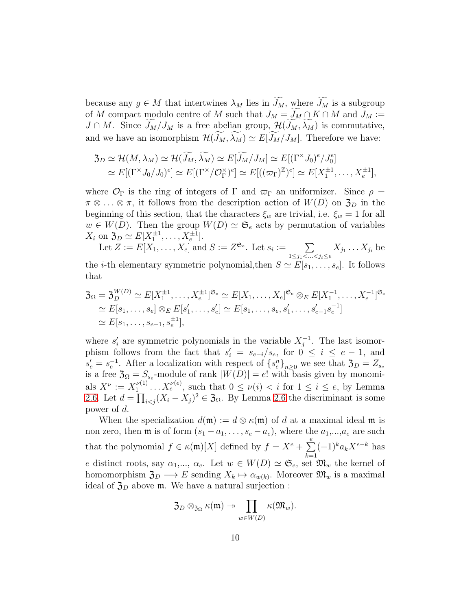because any  $g \in M$  that intertwines  $\lambda_M$  lies in  $\widetilde{J_M}$ , where  $\widetilde{J_M}$  is a subgroup of M compact modulo centre of M such that  $J_M = \widetilde{J_M} \cap K \cap M$  and  $J_M :=$  $J \cap M$ . Since  $\widetilde{J_M}/J_M$  is a free abelian group,  $\mathcal{H}(\widetilde{J_M}, \widetilde{\lambda_M})$  is commutative, and we have an isomorphism  $\mathcal{H}(\widetilde{J_M}, \widetilde{\lambda_M}) \simeq E[\widetilde{J_M}/J_M]$ . Therefore we have:

$$
\mathfrak{Z}_D \simeq \mathcal{H}(M, \lambda_M) \simeq \mathcal{H}(\widetilde{J_M}, \widetilde{\lambda_M}) \simeq E[\widetilde{J_M}/J_M] \simeq E[(\Gamma^{\times} J_0)^e / J_0^e]
$$
  
\simeq 
$$
E[(\Gamma^{\times} J_0 / J_0)^e] \simeq E[(\Gamma^{\times} / \mathcal{O}_{\Gamma}^{\times})^e] \simeq E[((\varpi_{\Gamma})^{\mathbb{Z}})^e] \simeq E[X_1^{\pm 1}, \dots, X_e^{\pm 1}],
$$

where  $\mathcal{O}_{\Gamma}$  is the ring of integers of  $\Gamma$  and  $\varpi_{\Gamma}$  an uniformizer. Since  $\rho =$  $\pi \otimes \ldots \otimes \pi$ , it follows from the description action of  $W(D)$  on  $\mathfrak{Z}_D$  in the beginning of this section, that the characters  $\xi_w$  are trivial, i.e.  $\xi_w = 1$  for all  $w \in W(D)$ . Then the group  $W(D) \simeq \mathfrak{S}_e$  acts by permutation of variables  $X_i$  on  $\mathfrak{Z}_D \simeq E[X_1^{\pm 1}, \ldots, X_e^{\pm 1}].$ 

Let  $Z := E[X_1, \ldots, X_e]$  and  $S := Z^{\mathfrak{S}_e}$ . Let  $s_i := \sum$  $1 \leq j_1 < ... < j_i \leq e$  $X_{j_1}\ldots X_{j_i}$  be the *i*-th elementary symmetric polynomial, then  $S \simeq E[s_1, \ldots, s_e]$ . It follows that

$$
3\Omega = 3_D^{W(D)} \simeq E[X_1^{\pm 1}, \dots, X_e^{\pm 1}]^{\mathfrak{S}_e} \simeq E[X_1, \dots, X_e]^{\mathfrak{S}_e} \otimes_E E[X_1^{-1}, \dots, X_e^{-1}]^{\mathfrak{S}_e}
$$
  
\n
$$
\simeq E[s_1, \dots, s_e] \otimes_E E[s'_1, \dots, s'_e] \simeq E[s_1, \dots, s_e, s'_1, \dots, s'_{e-1} s_e^{-1}]
$$
  
\n
$$
\simeq E[s_1, \dots, s_{e-1}, s_e^{\pm 1}],
$$

where  $s'_i$  are symmetric polynomials in the variable  $X_j^{-1}$ . The last isomorphism follows from the fact that  $s_i' = s_{e-i}/s_e$ , for  $0 \le i \le e-1$ , and  $s'_e = s_e^{-1}$ . After a localization with respect of  $\{s_e^n\}_{n\geq 0}$  we see that  $\mathfrak{Z}_D = Z_{s_e}$ is a free  $\mathfrak{Z}_{\Omega} = S_{s_e}$ -module of rank  $|W(D)| = e!$  with basis given by monomials  $X^{\nu} := X_1^{\nu(1)}$  $u_1^{\nu(1)} \dots X_e^{\nu(e)}$ , such that  $0 \le \nu(i) < i$  for  $1 \le i \le e$ , by Lemma [2.6.](#page-6-0) Let  $d = \prod_{i < j} (X_i - X_j)^2 \in \mathfrak{Z}_{\Omega}$ . By Lemma [2.6](#page-6-0) the discriminant is some power of d.

When the specialization  $d(\mathfrak{m}) := d \otimes \kappa(\mathfrak{m})$  of d at a maximal ideal  $\mathfrak{m}$  is non zero, then  $\mathfrak m$  is of form  $(s_1 - a_1, \ldots, s_e - a_e)$ , where the  $a_1, \ldots, a_e$  are such that the polynomial  $f \in \kappa(\mathfrak{m})[X]$  defined by  $f = X^e + \sum_{n=0}^e (-1)^k a_k X^{e-k}$  has e distinct roots, say  $\alpha_1, ..., \alpha_e$ . Let  $w \in W(D) \simeq \mathfrak{S}_e$ , set  $\mathfrak{M}_w$  the kernel of homomorphism  $\mathfrak{Z}_D \longrightarrow E$  sending  $X_k \mapsto \alpha_{w(k)}$ . Moreover  $\mathfrak{M}_w$  is a maximal ideal of  $\mathfrak{Z}_D$  above  $\mathfrak{m}$ . We have a natural surjection :

$$
\mathfrak{Z}_D \otimes_{\mathfrak{Z}_{\Omega}} \kappa(\mathfrak{m}) \twoheadrightarrow \prod_{w \in W(D)} \kappa(\mathfrak{M}_w).
$$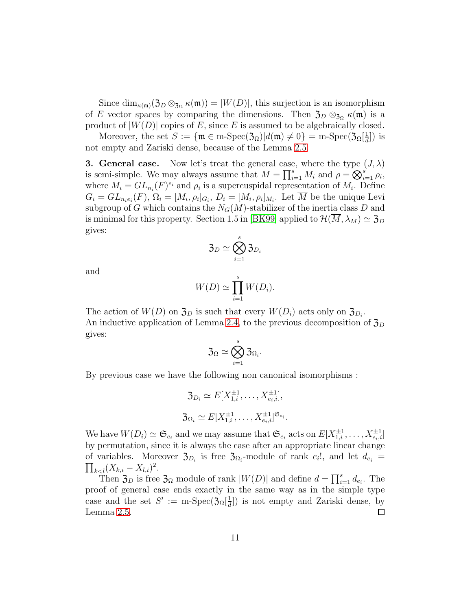Since  $\dim_{\kappa(m)}(\mathfrak{Z}_D \otimes_{\mathfrak{Z}_\Omega} \kappa(\mathfrak{m})) = |W(D)|$ , this surjection is an isomorphism of E vector spaces by comparing the dimensions. Then  $\mathfrak{Z}_D \otimes_{\mathfrak{Z}_\Omega} \kappa(\mathfrak{m})$  is a product of  $|W(D)|$  copies of E, since E is assumed to be algebraically closed.

Moreover, the set  $S := {\mathfrak{m} \in \text{m-Spec}}(3_\Omega)|d(\mathfrak{m}) \neq 0$  = m-Spec $(3_\Omega[\frac{1}{d}$  $\frac{1}{d}$ ]) is not empty and Zariski dense, because of the Lemma [2.5.](#page-6-1)

**3. General case.** Now let's treat the general case, where the type  $(J, \lambda)$ is semi-simple. We may always assume that  $M = \prod_{i=1}^{s} M_i$  and  $\rho = \bigotimes_{i=1}^{s} \rho_i$ , where  $M_i = GL_{n_i}(F)^{e_i}$  and  $\rho_i$  is a supercuspidal representation of  $M_i$ . Define  $G_i = GL_{n_ie_i}(F), \Omega_i = [M_i, \rho_i]_{G_i}, D_i = [M_i, \rho_i]_{M_i}.$  Let M be the unique Levi subgroup of G which contains the  $N_G(M)$ -stabilizer of the inertia class D and is minimal for this property. Section 1.5 in [\[BK99\]](#page-26-2) applied to  $\mathcal{H}(M, \lambda_M) \simeq \mathfrak{Z}_D$ gives:

$$
\mathfrak{Z}_D\simeq\bigotimes_{i=1}^s\mathfrak{Z}_{D_i}
$$

and

$$
W(D) \simeq \prod_{i=1}^{s} W(D_i).
$$

The action of  $W(D)$  on  $\mathfrak{Z}_D$  is such that every  $W(D_i)$  acts only on  $\mathfrak{Z}_{D_i}$ . An inductive application of Lemma [2.4,](#page-6-2) to the previous decomposition of  $\mathfrak{Z}_D$ gives:

$$
\mathfrak{Z}_{\Omega}\simeq\bigotimes_{i=1}^s\mathfrak{Z}_{\Omega_i}.
$$

By previous case we have the following non canonical isomorphisms :

$$
\mathfrak{Z}_{D_i} \simeq E[X_{1,i}^{\pm 1}, \dots, X_{e_i,i}^{\pm 1}],
$$
  

$$
\mathfrak{Z}_{\Omega_i} \simeq E[X_{1,i}^{\pm 1}, \dots, X_{e_i,i}^{\pm 1}]^{\mathfrak{S}_{e_i}}.
$$

We have  $W(D_i) \simeq \mathfrak{S}_{e_i}$  and we may assume that  $\mathfrak{S}_{e_i}$  acts on  $E[X_{1,i}^{\pm 1}, \ldots, X_{e_i,i}^{\pm 1}]$ by permutation, since it is always the case after an appropriate linear change of variables. Moreover  $\mathfrak{Z}_{D_i}$  is free  $\mathfrak{Z}_{\Omega_i}$ -module of rank  $e_i!$ , and let  $d_{e_i} =$  $\prod_{k < l} (X_{k,i} - X_{l,i})^2.$ 

Then  $\mathfrak{Z}_D$  is free  $\mathfrak{Z}_\Omega$  module of rank  $|W(D)|$  and define  $d = \prod_{i=1}^s d_{e_i}$ . The proof of general case ends exactly in the same way as in the simple type case and the set  $S' := \text{m-Spec}(\mathfrak{Z}_\Omega[\frac{1}{d}$  $\frac{1}{d}$ ) is not empty and Zariski dense, by Lemma [2.5.](#page-6-1)  $\Box$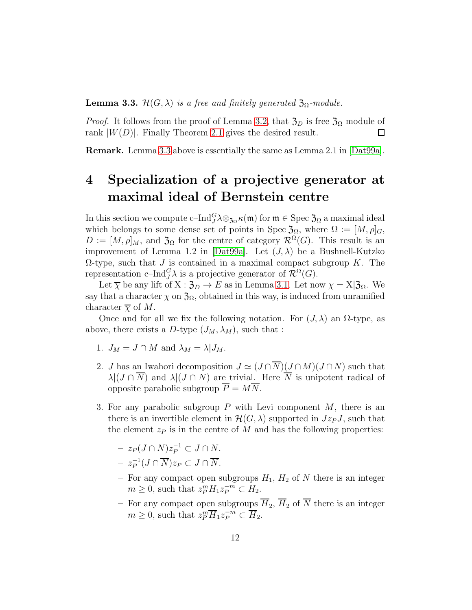<span id="page-11-1"></span>**Lemma 3.3.**  $\mathcal{H}(G,\lambda)$  *is a free and finitely generated*  $\mathfrak{Z}_{\Omega}$ *-module.* 

*Proof.* It follows from the proof of Lemma [3.2,](#page-8-0) that  $\mathfrak{Z}_D$  is free  $\mathfrak{Z}_\Omega$  module of rank  $|W(D)|$ . Finally Theorem [2.1](#page-5-1) gives the desired result.  $\Box$ 

<span id="page-11-0"></span>Remark. Lemma [3.3](#page-11-1) above is essentially the same as Lemma 2.1 in [\[Dat99a\]](#page-27-0).

## 4 Specialization of a projective generator at maximal ideal of Bernstein centre

In this section we compute c–Ind ${}^G_J\lambda\otimes_{\mathfrak{Z}_\Omega} \kappa(\mathfrak{m})$  for  $\mathfrak{m}\in\mathrm{Spec}\,\mathfrak{Z}_\Omega$  a maximal ideal which belongs to some dense set of points in Spec  $\mathfrak{Z}_{\Omega}$ , where  $\Omega := [M, \rho]_G$ ,  $D := [M, \rho]_M$ , and  $\mathfrak{Z}_{\Omega}$  for the centre of category  $\mathcal{R}^{\Omega}(G)$ . This result is an improvement of Lemma 1.2 in [\[Dat99a\]](#page-27-0). Let  $(J, \lambda)$  be a Bushnell-Kutzko  $Ω$ -type, such that *J* is contained in a maximal compact subgroup *K*. The representation c–Ind $_G^G \lambda$  is a projective generator of  $\mathcal{R}^{\Omega}(G)$ .

Let  $\overline{\chi}$  be any lift of  $X : \mathfrak{Z}_D \to E$  as in Lemma [3.1.](#page-7-1) Let now  $\chi = X|\mathfrak{Z}_\Omega$ . We say that a character  $\chi$  on  $\mathfrak{Z}_{\Omega}$ , obtained in this way, is induced from unramified character  $\overline{\chi}$  of M.

Once and for all we fix the following notation. For  $(J, \lambda)$  an  $\Omega$ -type, as above, there exists a D-type  $(J_M, \lambda_M)$ , such that :

- 1.  $J_M = J \cap M$  and  $\lambda_M = \lambda | J_M$ .
- 2. J has an Iwahori decomposition  $J \simeq (J \cap \overline{N})(J \cap M)(J \cap N)$  such that  $\lambda |(J \cap \overline{N})$  and  $\lambda |(J \cap N)$  are trivial. Here  $\overline{N}$  is unipotent radical of opposite parabolic subgroup  $\overline{P} = M\overline{N}$ .
- 3. For any parabolic subgroup  $P$  with Levi component  $M$ , there is an there is an invertible element in  $\mathcal{H}(G,\lambda)$  supported in  $Jz_PJ$ , such that the element  $z_P$  is in the centre of M and has the following properties:

$$
- z_P(J \cap N)z_P^{-1} \subset J \cap N.
$$
  

$$
- z_P^{-1}(J \cap \overline{N})z_P \subset J \cap \overline{N}.
$$

- For any compact open subgroups  $H_1$ ,  $H_2$  of N there is an integer  $m \geq 0$ , such that  $z_P^m H_1 z_P^{-m} \subset H_2$ .
- For any compact open subgroups  $\overline{H}_2$ ,  $\overline{H}_2$  of  $\overline{N}$  there is an integer  $m \geq 0$ , such that  $z_P^m \overline{H}_1 z_P^{-m} \subset \overline{H}_2$ .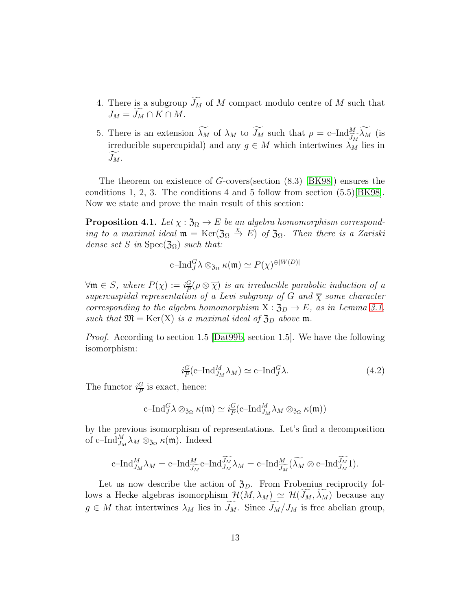- 4. There is a subgroup  $\widetilde{J_M}$  of M compact modulo centre of M such that  $J_M = \widetilde{J_M} \cap K \cap M$ .
- 5. There is an extension  $\lambda_M$  of  $\lambda_M$  to  $\widetilde{J_M}$  such that  $\rho = c-\text{Ind}_{\widetilde{J_M}}^M \widetilde{\lambda_M}$  (is irreducible supercupidal) and any  $g \in M$  which intertwines  $\lambda_M$  lies in  $J_M$ .

The theorem on existence of G-covers(section (8.3) [\[BK98\]](#page-26-1)) ensures the conditions 1, 2, 3. The conditions 4 and 5 follow from section (5.5)[\[BK98\]](#page-26-1). Now we state and prove the main result of this section:

<span id="page-12-1"></span>**Proposition 4.1.** *Let*  $\chi : \mathfrak{Z}_{\Omega} \to E$  *be an algebra homomorphism corresponding to a maximal ideal*  $\mathfrak{m} = \text{Ker}(\mathfrak{Z}_{\Omega} \stackrel{\chi}{\to} E)$  *of*  $\mathfrak{Z}_{\Omega}$ . Then there is a Zariski *dense set* S *in* Spec $(\mathfrak{Z}_{\Omega})$  *such that:* 

$$
\mathrm{c\text{--} Ind}_{J}^{G} \lambda \otimes_{\mathfrak{Z}_{\Omega}} \kappa(\mathfrak{m}) \simeq P(\chi)^{\oplus |W(D)|}
$$

 $\forall \mathfrak{m} \in S$ , where  $P(\chi) := i \frac{G}{P}$  $\frac{G}{P}(\rho \otimes \overline{\chi})$  is an irreducible parabolic induction of a *supercuspidal representation of a Levi subgroup of* G and  $\overline{\chi}$  *some character corresponding to the algebra homomorphism*  $X : \mathfrak{Z}_D \to E$ *, as in Lemma [3.1,](#page-7-1) such that*  $\mathfrak{M} = \text{Ker}(X)$  *is a maximal ideal of*  $\mathfrak{Z}_D$  *above* **m**.

*Proof.* According to section 1.5 [\[Dat99b,](#page-27-4) section 1.5]. We have the following isomorphism:

<span id="page-12-0"></span>
$$
i_{\overline{P}}^G(c-\text{Ind}_{J_M}^M\lambda_M) \simeq c-\text{Ind}_J^G\lambda. \tag{4.2}
$$

The functor  $i\frac{G}{P}$  $\frac{G}{P}$  is exact, hence:

$$
\mathrm{c\text{--} Ind}_{J}^{G} \lambda \otimes_{\mathfrak{Z}_{\Omega}} \kappa(\mathfrak{m}) \simeq i_{\overline{P}}^{G}(\mathrm{c\text{--} Ind}_{J_{M}}^{M} \lambda_{M} \otimes_{\mathfrak{Z}_{\Omega}} \kappa(\mathfrak{m}))
$$

by the previous isomorphism of representations. Let's find a decomposition of c-Ind $_{J_M}^M \lambda_M \otimes_{\mathfrak{Z}_{\Omega}} \kappa(\mathfrak{m})$ . Indeed

$$
\mathrm{c\text{--} Ind}_{J_{M}}^{M} \lambda_{M} = \mathrm{c\text{--} Ind}_{\widetilde{J_{M}}}^{M} \mathrm{c\text{--} Ind}_{J_{M}}^{\widetilde{J_{M}}} \lambda_{M} = \mathrm{c\text{--} Ind}_{\widetilde{J_{M}}}^{M} (\widetilde{\lambda_{M}} \otimes \mathrm{c\text{--} Ind}_{J_{M}}^{\widetilde{J_{M}}} 1).
$$

Let us now describe the action of  $\mathfrak{Z}_D$ . From Frobenius reciprocity follows a Hecke algebras isomorphism  $\mathcal{H}(M, \lambda_M) \simeq \mathcal{H}(J_M, \lambda_M)$  because any  $g \in M$  that intertwines  $\lambda_M$  lies in  $J_M$ . Since  $J_M/J_M$  is free abelian group,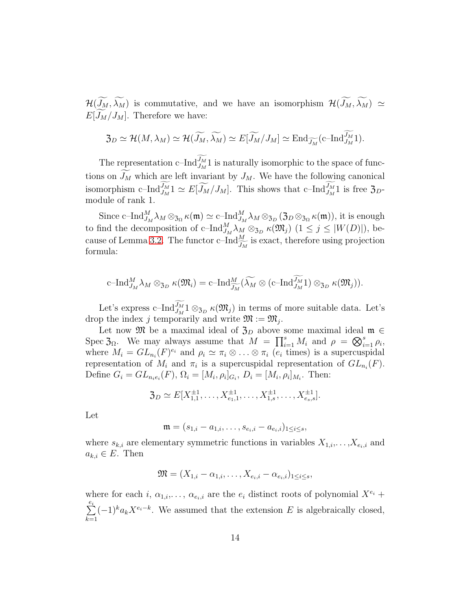$\mathcal{H}(\widetilde{J_M}, \widetilde{\lambda_M})$  is commutative, and we have an isomorphism  $\mathcal{H}(\widetilde{J_M}, \widetilde{\lambda_M}) \simeq$  $E[J_M/J_M]$ . Therefore we have:

$$
\mathfrak{Z}_D \simeq \mathcal{H}(M, \lambda_M) \simeq \mathcal{H}(\widetilde{J_M}, \widetilde{\lambda_M}) \simeq E[\widetilde{J_M}/J_M] \simeq \text{End}_{\widetilde{J_M}}(\text{c-Ind}_{J_M}^{\widetilde{J_M}} 1).
$$

The representation c–Ind $\widetilde{J_M}$  is naturally isomorphic to the space of functions on  $\widetilde{J_M}$  which are left invariant by  $J_M$ . We have the following canonical isomorphism c–Ind $\widetilde{J_M}$ 1  $\simeq E[\widetilde{J_M}/J_M]$ . This shows that c–Ind $\widetilde{J_M}$ 1 is free  $\mathfrak{Z}_D$ module of rank 1.

Since c-Ind $_{J_M}^M \lambda_M \otimes_{\mathfrak{Z}_{\Omega}} \kappa(\mathfrak{m}) \simeq \mathrm{c}\text{--}\mathrm{Ind}_{J_M}^M \lambda_M \otimes_{\mathfrak{Z}_D} (\mathfrak{Z}_D \otimes_{\mathfrak{Z}_{\Omega}} \kappa(\mathfrak{m}))$ , it is enough to find the decomposition of c-Ind $_{J_M}^M \lambda_M \otimes_{3_D} \kappa(\mathfrak{M}_j)$   $(1 \le j \le |W(D)|)$ , be-cause of Lemma [3.2.](#page-8-0) The functor c–Ind $\frac{M}{J_M}$  is exact, therefore using projection formula:

$$
\mathrm{c\text{--} Ind}_{J_M}^M \lambda_M \otimes_{\mathfrak{Z}_D} \kappa(\mathfrak{M}_i) = \mathrm{c\text{--} Ind}_{\widetilde{J_M}}^M(\widetilde{\lambda_M} \otimes (\mathrm{c\text{--} Ind}_{J_M}^{\widetilde{J_M}} \mathbf{1}) \otimes_{\mathfrak{Z}_D} \kappa(\mathfrak{M}_j)).
$$

Let's express c–Ind $\widetilde{J_M}$ 1  $\otimes_{\mathfrak{Z}_D}$   $\kappa(\mathfrak{M}_j)$  in terms of more suitable data. Let's drop the index j temporarily and write  $\mathfrak{M} := \mathfrak{M}_j$ .

Let now  $\mathfrak{M}$  be a maximal ideal of  $\mathfrak{Z}_D$  above some maximal ideal  $\mathfrak{m} \in$ Spec  $\mathfrak{Z}_{\Omega}$ . We may always assume that  $M = \prod_{i=1}^{s} M_i$  and  $\rho = \bigotimes_{i=1}^{s} \rho_i$ , where  $M_i = GL_{n_i}(F)^{e_i}$  and  $\rho_i \simeq \pi_i \otimes \ldots \otimes \pi_i$   $(e_i$  times) is a supercuspidal representation of  $M_i$  and  $\pi_i$  is a supercuspidal representation of  $GL_{n_i}(F)$ . Define  $G_i = GL_{n_ie_i}(F)$ ,  $\Omega_i = [M_i, \rho_i]_{G_i}$ ,  $D_i = [M_i, \rho_i]_{M_i}$ . Then:

$$
\mathfrak{Z}_D \simeq E[X_{1,1}^{\pm 1}, \dots, X_{e_1,1}^{\pm 1}, \dots, X_{1,s}^{\pm 1}, \dots, X_{e_s,s}^{\pm 1}].
$$

Let

$$
\mathfrak{m} = (s_{1,i} - a_{1,i}, \dots, s_{e_i,i} - a_{e_i,i})_{1 \leq i \leq s},
$$

where  $s_{k,i}$  are elementary symmetric functions in variables  $X_{1,i},\ldots,X_{e_i,i}$  and  $a_{k,i} \in E$ . Then

$$
\mathfrak{M}=(X_{1,i}-\alpha_{1,i},\ldots,X_{e_i,i}-\alpha_{e_i,i})_{1\leq i\leq s},
$$

where for each i,  $\alpha_{1,i},\ldots,\alpha_{e_i,i}$  are the  $e_i$  distinct roots of polynomial  $X^{e_i}$  +  $\frac{e_i}{\sum}$  $k=1$  $(-1)^{k} a_k X^{e_i-k}$ . We assumed that the extension E is algebraically closed,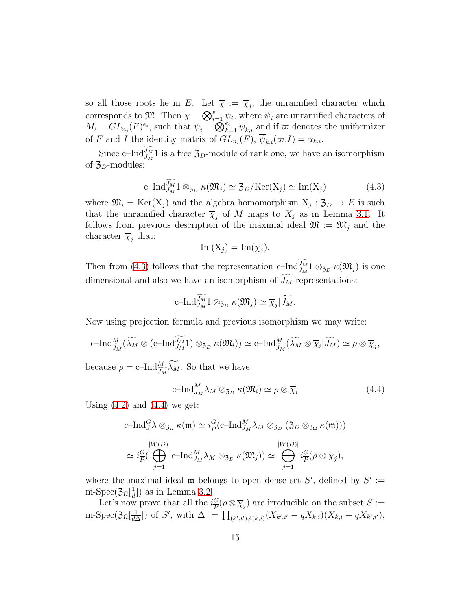so all those roots lie in E. Let  $\overline{\chi} := \overline{\chi}_j$ , the unramified character which corresponds to  $\mathfrak{M}$ . Then  $\overline{\chi} = \bigotimes_{i=1}^s \overline{\psi}_i$ , where  $\overline{\psi}_i$  are unramified characters of  $M_i = GL_{n_i}(F)^{e_i}$ , such that  $\overline{\psi}_i = \overline{\mathcal{O}}_{k=1}^{e_i} \overline{\psi}_{k,i}$  and if  $\varpi$  denotes the uniformizer of F and I the identity matrix of  $GL_{n_i}(F)$ ,  $\psi_{k,i}(\varpi.I) = \alpha_{k,i}$ .

Since c–Ind $\widetilde{J_M}$ 1 is a free  $\mathfrak{Z}_D$ -module of rank one, we have an isomorphism of  $\mathfrak{Z}_D$ -modules:

<span id="page-14-0"></span>
$$
\mathrm{c\text{--}Ind}_{J_M}^{\widetilde{J_M}} 1 \otimes_{\mathfrak{Z}_D} \kappa(\mathfrak{M}_j) \simeq \mathfrak{Z}_D/\mathrm{Ker}(\mathrm{X}_j) \simeq \mathrm{Im}(\mathrm{X}_j)
$$
(4.3)

where  $\mathfrak{M}_i = \text{Ker}(X_j)$  and the algebra homomorphism  $X_j : \mathfrak{Z}_D \to E$  is such that the unramified character  $\overline{\chi}_j$  of M maps to  $X_j$  as in Lemma [3.1.](#page-7-1) It follows from previous description of the maximal ideal  $\mathfrak{M} := \mathfrak{M}_j$  and the character  $\overline{\chi}_j$  that:

$$
\operatorname{Im}(\mathrm{X}_j)=\operatorname{Im}(\overline{\chi}_j).
$$

Then from [\(4.3\)](#page-14-0) follows that the representation c–Ind $\widetilde{J_M}$   $1 \otimes_{3_D} \kappa(\mathfrak{M}_j)$  is one dimensional and also we have an isomorphism of  $J_M$ -representations:

$$
\mathrm{c\text{--} Ind}_{J_M}^{\widetilde{J_M}} 1 \otimes_{\mathfrak{Z}_D} \kappa(\mathfrak{M}_j) \simeq \overline{\chi}_j | \widetilde{J_M}.
$$

Now using projection formula and previous isomorphism we may write:

$$
\mathrm{c\text{--} Ind}_{\widetilde{J_M}}^M(\widetilde{\lambda_M} \otimes (\mathrm{c\text{--} Ind}_{J_M}^{\widetilde{J_M}} 1) \otimes_{\mathfrak{Z}_D} \kappa(\mathfrak{M}_i)) \simeq \mathrm{c\text{--} Ind}_{\widetilde{J_M}}^M(\widetilde{\lambda_M} \otimes \overline{\chi}_i | \widetilde{J_M}) \simeq \rho \otimes \overline{\chi}_j,
$$

because  $\rho = \text{c-Ind}_{\overline{J_M}}^M \widetilde{\lambda}_M$ . So that we have

<span id="page-14-1"></span>
$$
c\text{--Ind}_{J_M}^M \lambda_M \otimes_{\mathfrak{Z}_D} \kappa(\mathfrak{M}_i) \simeq \rho \otimes \overline{\chi}_i \tag{4.4}
$$

Using  $(4.2)$  and  $(4.4)$  we get:

$$
\begin{aligned}\n\text{c-Ind}_{J}^{G} \lambda \otimes_{\mathfrak{Z}_{\Omega}} \kappa(\mathfrak{m}) &\simeq i_{\overline{P}}^{G}(\text{c-Ind}_{J_{M}}^{M} \lambda_{M} \otimes_{\mathfrak{Z}_{D}} (\mathfrak{Z}_{D} \otimes_{\mathfrak{Z}_{\Omega}} \kappa(\mathfrak{m}))) \\
&\simeq i_{\overline{P}}^{G}(\bigoplus_{j=1}^{|W(D)|} \text{c-Ind}_{J_{M}}^{M} \lambda_{M} \otimes_{\mathfrak{Z}_{D}} \kappa(\mathfrak{M}_{j})) &\simeq \bigoplus_{j=1}^{|W(D)|} i_{\overline{P}}^{G}(\rho \otimes \overline{\chi}_{j}),\n\end{aligned}
$$

where the maximal ideal  $\mathfrak m$  belongs to open dense set S', defined by  $S' :=$ m-Spec( $\mathfrak{Z}_{\Omega}[\frac{1}{d}]$  $\frac{1}{d}$ ]) as in Lemma [3.2.](#page-8-0)

Let's now prove that all the  $i\frac{G}{P}$  $\frac{G}{P}(\rho \otimes \overline{\chi}_j)$  are irreducible on the subset  $S :=$ m-Spec $( \mathfrak{Z}_{\Omega}[\frac{1}{d\Delta}]$  $\frac{1}{d\Delta}$ ]) of S', with  $\Delta := \prod_{(k',i')\neq (k,i)} (X_{k',i'} - qX_{k,i})(X_{k,i} - qX_{k',i'}),$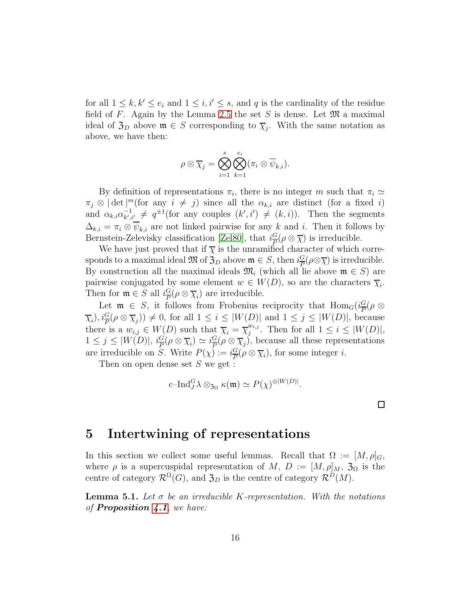for all  $1 \leq k, k' \leq e_i$  and  $1 \leq i, i' \leq s$ , and q is the cardinality of the residue field of F. Again by the Lemma [2.5](#page-6-1) the set S is dense. Let  $\mathfrak{M}$  a maximal ideal of  $\mathfrak{Z}_D$  above  $\mathfrak{m} \in S$  corresponding to  $\overline{\chi}_j$ . With the same notation as above, we have then:

$$
\rho \otimes \overline{\chi}_j = \bigotimes_{i=1}^s \bigotimes_{k=1}^{e_i} (\pi_i \otimes \overline{\psi}_{k,i}).
$$

By definition of representations  $\pi_i$ , there is no integer m such that  $\pi_i \simeq$  $\pi_j \otimes |\det|^m$  (for any  $i \neq j$ ) since all the  $\alpha_{k,i}$  are distinct (for a fixed i) and  $\alpha_{k,i}\alpha_{k',i}^{-1}$  $\bar{t}_{k',i'}^{-1} \neq q^{\pm 1}$  (for any couples  $(k',i') \neq (k,i)$ ). Then the segments  $\Delta_{k,i} = \pi_i \otimes \overline{\psi}_{k,i}$  are not linked pairwise for any k and i. Then it follows by Bernstein-Zelevisky classification [\[Zel80\]](#page-28-3), that  $i\frac{G}{P}$  $\frac{G}{P}(\rho \otimes \overline{\chi})$  is irreducible.

We have just proved that if  $\overline{\chi}$  is the unramified character of which corresponds to a maximal ideal  $\mathfrak{M}$  of  $\mathfrak{Z}_D$  above  $\mathfrak{m} \in S$ , then  $i\frac{G}{P}$  $\frac{G}{P}(\rho \otimes \overline{\chi})$  is irreducible. By construction all the maximal ideals  $\mathfrak{M}_i$  (which all lie above  $\mathfrak{m} \in S$ ) are pairwise conjugated by some element  $w \in W(D)$ , so are the characters  $\overline{\chi}_i$ . Then for  $\mathfrak{m} \in S$  all  $i\frac{G}{P}$  $\frac{G}{P}(\rho \otimes \overline{\chi}_i)$  are irreducible.

Let  $\mathfrak{m} \in S$ , it follows from Frobenius reciprocity that  $\text{Hom}_G(i\frac{G}{P})$  $\frac{G}{P}(\rho\, \otimes$  $(\overline{\chi}_i), i_{\overline{P}}^G(\rho \otimes \overline{\chi}_j)) \neq 0$ , for all  $1 \leq i \leq |W(D)|$  and  $1 \leq j \leq |W(D)|$ , because there is a  $w_{i,j} \in W(D)$  such that  $\overline{\chi}_i = \overline{\chi}_j^{w_{i,j}}$  $_{j}^{w_{i,j}}$ . Then for all  $1 \leq i \leq |W(D)|$ ,  $1 \leq j \leq |W(D)|$ ,  $i\frac{G}{R}$  $\frac{G}{P}(\rho \otimes \overline{\chi}_i) \simeq i \frac{G}{P}$  $\frac{G}{P}(\rho \otimes \overline{\chi}_j)$ , because all these representations are irreducible on S. Write  $P(\chi) := i \frac{G}{P}$  $\frac{G}{P}(\rho \otimes \overline{\chi}_i)$ , for some integer *i*.

Then on open dense set  $S$  we get :

$$
\mathrm{c\text{--} Ind}_{J}^{G} \lambda \otimes_{\mathfrak{Z}_{\Omega}} \kappa(\mathfrak{m}) \simeq P(\chi)^{\oplus |W(D)|}.
$$

### <span id="page-15-0"></span>5 Intertwining of representations

In this section we collect some useful lemmas. Recall that  $\Omega := [M, \rho]_G$ , where  $\rho$  is a supercuspidal representation of M,  $D := [M, \rho]_M$ ,  $\mathfrak{Z}_{\Omega}$  is the centre of category  $\mathcal{R}^{\Omega}(G)$ , and  $\mathfrak{Z}_D$  is the centre of category  $\mathcal{R}^D(M)$ .

<span id="page-15-1"></span>Lemma 5.1. *Let* σ *be an irreducible* K*-representation. With the notations of* Proposition [4.1](#page-12-1)*, we have:*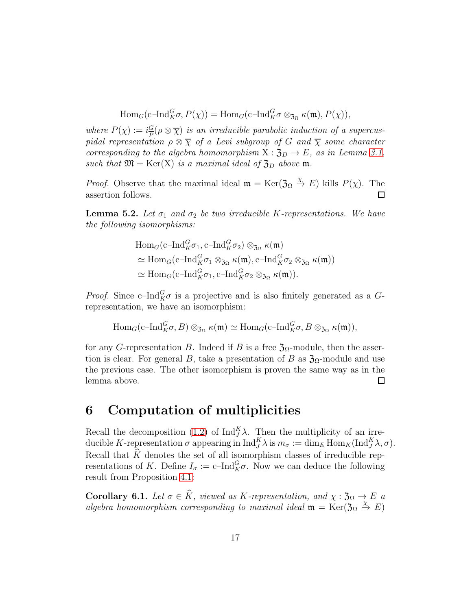$$
\mathrm{Hom}_G(\mathrm{c\text{--} Ind}_{K}^G \sigma, P(\chi)) = \mathrm{Hom}_G(\mathrm{c\text{--} Ind}_{K}^G \sigma \otimes_{\mathfrak{Z}_{\Omega}} \kappa(\mathfrak{m}), P(\chi)),
$$

*where*  $P(\chi) := i\frac{G}{R}$  $\frac{G}{P}(\rho \otimes \overline{\chi})$  *is an irreducible parabolic induction of a supercuspidal representation*  $\rho \otimes \overline{\chi}$  *of a Levi subgroup of G and*  $\overline{\chi}$  *some character corresponding to the algebra homomorphism*  $X : \mathfrak{Z}_D \to E$ *, as in Lemma [3.1,](#page-7-1) such that*  $\mathfrak{M} = \text{Ker}(X)$  *is a maximal ideal of*  $\mathfrak{Z}_D$  *above* **m**.

*Proof.* Observe that the maximal ideal  $\mathfrak{m} = \text{Ker}(\mathfrak{Z}_\Omega \overset{\chi}{\to} E)$  kills  $P(\chi)$ . The assertion follows.  $\Box$ 

<span id="page-16-2"></span>**Lemma 5.2.** Let  $\sigma_1$  and  $\sigma_2$  be two irreducible K-representations. We have *the following isomorphisms:*

$$
\text{Hom}_G(\text{c-Ind}_{K}^G \sigma_1, \text{c-Ind}_{K}^G \sigma_2) \otimes_{\mathfrak{Z}_{\Omega}} \kappa(\mathfrak{m})
$$
\n
$$
\simeq \text{Hom}_G(\text{c-Ind}_{K}^G \sigma_1 \otimes_{\mathfrak{Z}_{\Omega}} \kappa(\mathfrak{m}), \text{c-Ind}_{K}^G \sigma_2 \otimes_{\mathfrak{Z}_{\Omega}} \kappa(\mathfrak{m}))
$$
\n
$$
\simeq \text{Hom}_G(\text{c-Ind}_{K}^G \sigma_1, \text{c-Ind}_{K}^G \sigma_2 \otimes_{\mathfrak{Z}_{\Omega}} \kappa(\mathfrak{m})).
$$

*Proof.* Since c-Ind $_K^G \sigma$  is a projective and is also finitely generated as a Grepresentation, we have an isomorphism:

$$
\text{Hom}_G(\text{c-Ind}_{K}^G \sigma, B) \otimes_{\mathfrak{Z}_{\Omega}} \kappa(\mathfrak{m}) \simeq \text{Hom}_G(\text{c-Ind}_{K}^G \sigma, B \otimes_{\mathfrak{Z}_{\Omega}} \kappa(\mathfrak{m})),
$$

for any G-representation B. Indeed if B is a free  $\mathfrak{Z}_{\Omega}$ -module, then the assertion is clear. For general B, take a presentation of B as  $\mathfrak{Z}_{\Omega}$ -module and use the previous case. The other isomorphism is proven the same way as in the lemma above.  $\Box$ 

### <span id="page-16-0"></span>6 Computation of multiplicities

Recall the decomposition [\(1.2\)](#page-2-0) of  $\text{Ind}_{J}^{K} \lambda$ . Then the multiplicity of an irreducible K-representation  $\sigma$  appearing in  $\text{Ind}_{J}^{K} \lambda$  is  $m_{\sigma} := \dim_{E} \text{Hom}_{K}(\text{Ind}_{J}^{K} \lambda, \sigma)$ . Recall that  $\widehat{K}$  denotes the set of all isomorphism classes of irreducible representations of K. Define  $I_{\sigma} := \mathrm{c-Ind}_{K}^{G} \sigma$ . Now we can deduce the following result from Proposition [4.1:](#page-12-1)

<span id="page-16-1"></span>**Corollary 6.1.** *Let*  $\sigma \in \widehat{K}$ *, viewed as* K-representation, and  $\chi : \mathfrak{Z}_{\Omega} \to E$  a algebra homomorphism corresponding to maximal ideal  $\mathfrak{m} = \text{Ker}(\mathfrak{Z}_\Omega \overset{\chi}{\to} E)$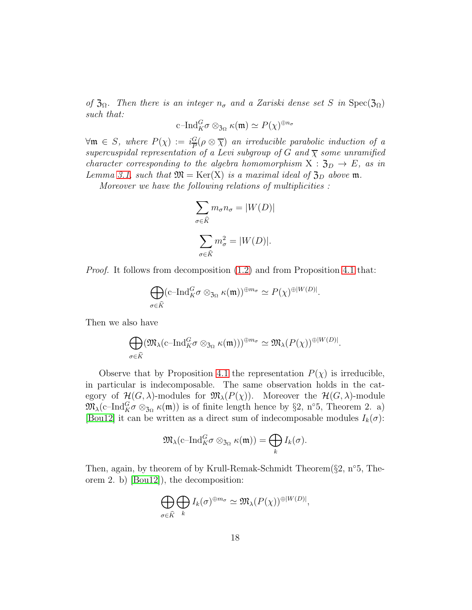*of*  $\mathfrak{Z}_{\Omega}$ *. Then there is an integer*  $n_{\sigma}$  *and a Zariski dense set* S *in* Spec( $\mathfrak{Z}_{\Omega}$ ) *such that:*

$$
\mathrm{c\text{--} Ind}_{K}^{G} \sigma \otimes_{\mathfrak{Z}_{\Omega}} \kappa(\mathfrak{m}) \simeq P(\chi)^{\oplus n_{\sigma}}
$$

 $\forall \mathfrak{m} \in S$ , where  $P(\chi) := i \frac{G}{P}$  $\frac{G}{P}(\rho \otimes \overline{\chi})$  *an irreducible parabolic induction of a supercuspidal representation of a Levi subgroup of* G and  $\overline{\chi}$  *some unramified character corresponding to the algebra homomorphism*  $X : \mathfrak{Z}_D \to E$ , as in *Lemma* [3.1,](#page-7-1) *such that*  $\mathfrak{M} = \text{Ker}(X)$  *is a maximal ideal of*  $\mathfrak{Z}_D$  *above* **m**.

*Moreover we have the following relations of multiplicities :*

$$
\sum_{\sigma \in \widehat{K}} m_{\sigma} n_{\sigma} = |W(D)|
$$

$$
\sum_{\sigma \in \widehat{K}} m_{\sigma}^2 = |W(D)|.
$$

*Proof.* It follows from decomposition  $(1.2)$  and from Proposition [4.1](#page-12-1) that:

$$
\bigoplus_{\sigma \in \widehat{K}} (\mathrm{c\text{--} Ind}_{K}^{G}\sigma \otimes_{\mathfrak{Z}_{\Omega}} \kappa(\mathfrak{m}))^{\oplus m_{\sigma}} \simeq P(\chi)^{\oplus |W(D)|}.
$$

Then we also have

$$
\bigoplus_{\sigma \in \widehat{K}} (\mathfrak{M}_{\lambda}(\mathrm{c\text{--} Ind}_{K}^{G} \sigma \otimes_{\mathfrak{Z}_{\Omega}} \kappa(\mathfrak{m})))^{\oplus m_{\sigma}} \simeq \mathfrak{M}_{\lambda}(P(\chi))^{\oplus |W(D)|}.
$$

Observe that by Proposition [4.1](#page-12-1) the representation  $P(\chi)$  is irreducible, in particular is indecomposable. The same observation holds in the category of  $\mathcal{H}(G,\lambda)$ -modules for  $\mathfrak{M}_{\lambda}(P(\chi))$ . Moreover the  $\mathcal{H}(G,\lambda)$ -module  $\mathfrak{M}_{\lambda}(\text{c-Ind}_{K}^{G}\sigma\otimes_{\mathfrak{Z}_{\Omega}}\kappa(\mathfrak{m}))$  is of finite length hence by §2, n°5, Theorem 2. a) [\[Bou12\]](#page-26-5) it can be written as a direct sum of indecomposable modules  $I_k(\sigma)$ :

$$
\mathfrak{M}_{\lambda}(\mathrm{c\text{--} Ind}_{K}^{G}\sigma \otimes_{\mathfrak{Z}_{\Omega}} \kappa(\mathfrak{m})) = \bigoplus_{k} I_{k}(\sigma).
$$

Then, again, by theorem of by Krull-Remak-Schmidt Theorem(§2, n°5, Theorem 2. b) [\[Bou12\]](#page-26-5)), the decomposition:

$$
\bigoplus_{\sigma \in \widehat{K}} \bigoplus_k I_k(\sigma)^{\oplus m_{\sigma}} \simeq \mathfrak{M}_{\lambda}(P(\chi))^{\oplus |W(D)|},
$$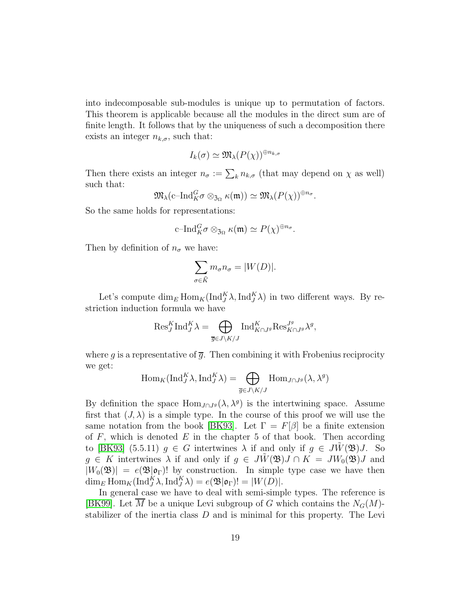into indecomposable sub-modules is unique up to permutation of factors. This theorem is applicable because all the modules in the direct sum are of finite length. It follows that by the uniqueness of such a decomposition there exists an integer  $n_{k,\sigma}$ , such that:

$$
I_k(\sigma) \simeq \mathfrak{M}_{\lambda}(P(\chi))^{\oplus n_{k,\sigma}}
$$

Then there exists an integer  $n_{\sigma} := \sum_{k} n_{k,\sigma}$  (that may depend on  $\chi$  as well) such that:

$$
\mathfrak{M}_{\lambda}(\mathrm{c\text{--} Ind}_{K}^{G}\sigma \otimes_{\mathfrak{Z}_{\Omega}} \kappa(\mathfrak{m})) \simeq \mathfrak{M}_{\lambda}(P(\chi))^{\oplus n_{\sigma}}.
$$

So the same holds for representations:

$$
\mathrm{c\text{--} Ind}_{K}^{G} \sigma \otimes_{\mathfrak{Z}_{\Omega}} \kappa(\mathfrak{m}) \simeq P(\chi)^{\oplus n_{\sigma}}.
$$

Then by definition of  $n_{\sigma}$  we have:

$$
\sum_{\sigma \in \widehat{K}} m_{\sigma} n_{\sigma} = |W(D)|.
$$

Let's compute  $\dim_E \text{Hom}_K(\text{Ind}_J^K \lambda, \text{Ind}_J^K \lambda)$  in two different ways. By restriction induction formula we have

$$
\text{Res}_{J}^{K}\text{Ind}_{J}^{K}\lambda = \bigoplus_{\overline{g} \in J\backslash K /J} \text{Ind}_{K \cap J^{g}}^{K} \text{Res}_{K \cap J^{g}}^{J^{g}}\lambda^{g},
$$

where g is a representative of  $\overline{g}$ . Then combining it with Frobenius reciprocity we get:

$$
\operatorname{Hom}_{K}(\operatorname{Ind}_{J}^{K}\lambda, \operatorname{Ind}_{J}^{K}\lambda) = \bigoplus_{\overline{g} \in J \setminus K / J} \operatorname{Hom}_{J \cap J^{g}}(\lambda, \lambda^{g})
$$

By definition the space  $\text{Hom}_{J \cap J}(\lambda, \lambda^g)$  is the intertwining space. Assume first that  $(J, \lambda)$  is a simple type. In the course of this proof we will use the same notation from the book [\[BK93\]](#page-26-0). Let  $\Gamma = F[\beta]$  be a finite extension of  $F$ , which is denoted  $E$  in the chapter 5 of that book. Then according to [\[BK93\]](#page-26-0) (5.5.11)  $g \in G$  intertwines  $\lambda$  if and only if  $g \in JW(\mathfrak{B})J$ . So  $g \in K$  intertwines  $\lambda$  if and only if  $g \in JW(\mathfrak{B})J \cap K = JW_0(\mathfrak{B})J$  and  $|W_0(\mathfrak{B})| = e(\mathfrak{B}|\mathfrak{o}_{\Gamma})!$  by construction. In simple type case we have then  $\dim_E \text{Hom}_K(\text{Ind}_{J}^{K} \lambda, \text{Ind}_{J}^{K} \lambda) = e(\mathfrak{B}|\mathfrak{o}_{\Gamma})! = |W(D)|.$ 

In general case we have to deal with semi-simple types. The reference is [\[BK99\]](#page-26-2). Let  $\overline{M}$  be a unique Levi subgroup of G which contains the  $N_G(M)$ stabilizer of the inertia class  $D$  and is minimal for this property. The Levi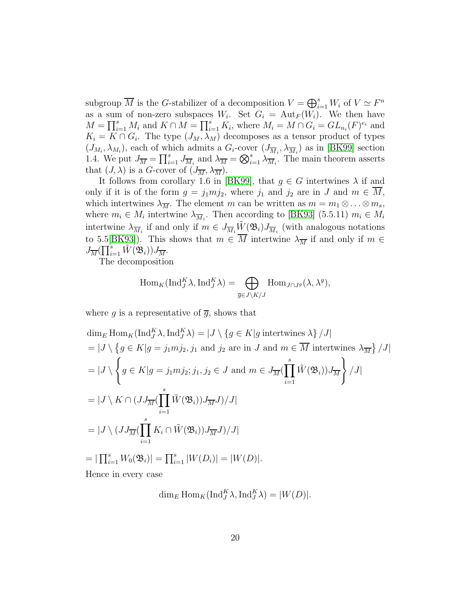subgroup  $\overline{M}$  is the G-stabilizer of a decomposition  $V = \bigoplus_{i=1}^{s} W_i$  of  $V \simeq F^n$ as a sum of non-zero subspaces  $W_i$ . Set  $G_i = \text{Aut}_F(W_i)$ . We then have  $M = \prod_{i=1}^s M_i$  and  $K \cap M = \prod_{i=1}^s K_i$ , where  $M_i = M \cap G_i = GL_{n_i}(F)^{e_i}$  and  $K_i = K \cap G_i$ . The type  $(J_M, \lambda_M)$  decomposes as a tensor product of types  $(J_{M_i}, \lambda_{M_i})$ , each of which admits a  $G_i$ -cover  $(J_{\overline{M}_i}, \lambda_{\overline{M}_i})$  as in [\[BK99\]](#page-26-2) section 1.4. We put  $J_{\overline{M}} = \prod_{i=1}^s J_{\overline{M}_i}$  and  $\lambda_{\overline{M}} = \bigotimes_{i=1}^s \lambda_{\overline{M}_i}$ . The main theorem asserts that  $(J, \lambda)$  is a G-cover of  $(J_{\overline{M}}, \lambda_{\overline{M}})$ .

It follows from corollary 1.6 in [\[BK99\]](#page-26-2), that  $g \in G$  intertwines  $\lambda$  if and only if it is of the form  $g = j_1mj_2$ , where  $j_1$  and  $j_2$  are in J and  $m \in M$ , which intertwines  $\lambda_{\overline{M}}$ . The element m can be written as  $m = m_1 \otimes \ldots \otimes m_s$ , where  $m_i \in M_i$  intertwine  $\lambda_{\overline{M}_i}$ . Then according to [\[BK93\]](#page-26-0) (5.5.11)  $m_i \in M_i$ intertwine  $\lambda_{\overline{M}_i}$  if and only if  $m \in J_{\overline{M}_i} \tilde{W}(\mathfrak{B}_i) J_{\overline{M}_i}$  (with analogous notations to 5.5[\[BK93\]](#page-26-0)). This shows that  $m \in \overline{M}$  intertwine  $\lambda_{\overline{M}}$  if and only if  $m \in$  $J_{\overline{M}}\big(\prod\nolimits_{i=1}^s\tilde{W}(\mathfrak{B}_i)\big)J_{\overline{M}}.$ 

The decomposition

$$
\operatorname{Hom}_{K}(\operatorname{Ind}_{J}^{K} \lambda, \operatorname{Ind}_{J}^{K} \lambda) = \bigoplus_{\overline{g} \in J \setminus K/J} \operatorname{Hom}_{J \cap J^{g}}(\lambda, \lambda^{g}),
$$

where g is a representative of  $\overline{g}$ , shows that

$$
\dim_E \text{Hom}_K(\text{Ind}_{J}^{K}\lambda, \text{Ind}_{J}^{K}\lambda) = |J \setminus \{g \in K | g \text{ intertwines } \lambda\}/J|
$$
  
\n= |J \setminus \{g \in K | g = j\_1mj\_2, j\_1 \text{ and } j\_2 \text{ are in } J \text{ and } m \in \overline{M} \text{ intertwines } \lambda\_{\overline{M}}\}/J|  
\n= |J \setminus \left\{g \in K | g = j\_1mj\_2; j\_1, j\_2 \in J \text{ and } m \in J\_{\overline{M}}(\prod\_{i=1}^{s} \tilde{W}(\mathfrak{B}\_i))J\_{\overline{M}}\right\}/J|  
\n= |J \setminus K \cap (JJ\_{\overline{M}}(\prod\_{i=1}^{s} \tilde{W}(\mathfrak{B}\_i))J\_{\overline{M}}J)/J|  
\n= |J \setminus (JJ\_{\overline{M}}(\prod\_{i=1}^{s} K\_i \cap \tilde{W}(\mathfrak{B}\_i))J\_{\overline{M}}J)/J|  
\n= |\prod\_{i=1}^{s} W\_0(\mathfrak{B}\_i)| = \prod\_{i=1}^{s} |W(D\_i)| = |W(D)|.

Hence in every case

$$
\dim_E \operatorname{Hom}_K(\operatorname{Ind}_J^K \lambda, \operatorname{Ind}_J^K \lambda) = |W(D)|.
$$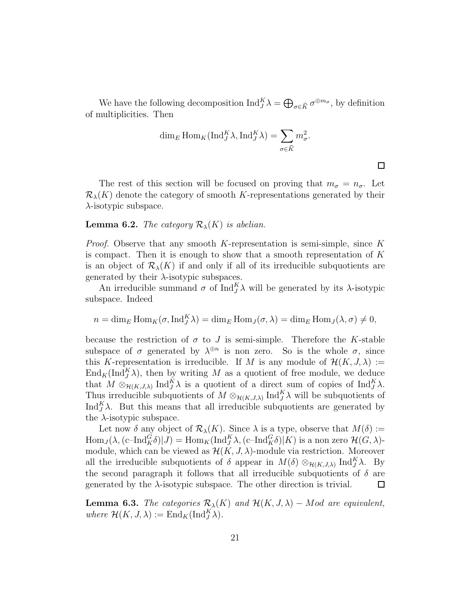We have the following decomposition  $\text{Ind}_{J}^{K} \lambda = \bigoplus_{\sigma \in \widehat{K}} \sigma^{\oplus m_{\sigma}}$ , by definition of multiplicities. Then

$$
\dim_E \mathrm{Hom}_K(\mathrm{Ind}_{J}^{K} \lambda, \mathrm{Ind}_{J}^{K} \lambda) = \sum_{\sigma \in \widehat{K}} m_{\sigma}^{2}.
$$

 $\Box$ 

The rest of this section will be focused on proving that  $m_{\sigma} = n_{\sigma}$ . Let  $\mathcal{R}_{\lambda}(K)$  denote the category of smooth K-representations generated by their  $\lambda$ -isotypic subspace.

### **Lemma 6.2.** *The category*  $\mathcal{R}_{\lambda}(K)$  *is abelian.*

*Proof.* Observe that any smooth K-representation is semi-simple, since K is compact. Then it is enough to show that a smooth representation of  $K$ is an object of  $\mathcal{R}_{\lambda}(K)$  if and only if all of its irreducible subquotients are generated by their  $\lambda$ -isotypic subspaces.

An irreducible summand  $\sigma$  of Ind<sup>K</sup> $\lambda$  will be generated by its  $\lambda$ -isotypic subspace. Indeed

$$
n = \dim_E \operatorname{Hom}_K(\sigma, \operatorname{Ind}_J^K \lambda) = \dim_E \operatorname{Hom}_J(\sigma, \lambda) = \dim_E \operatorname{Hom}_J(\lambda, \sigma) \neq 0,
$$

because the restriction of  $\sigma$  to J is semi-simple. Therefore the K-stable subspace of  $\sigma$  generated by  $\lambda^{\oplus n}$  is non zero. So is the whole  $\sigma$ , since this K-representation is irreducible. If M is any module of  $\mathcal{H}(K, J, \lambda) :=$  $\text{End}_K(\text{Ind}_{J}^{K}\lambda)$ , then by writing M as a quotient of free module, we deduce that  $M \otimes_{\mathcal{H}(K,J,\lambda)} \text{Ind}_{J}^{K} \lambda$  is a quotient of a direct sum of copies of  $\text{Ind}_{J}^{K} \lambda$ . Thus irreducible subquotients of  $M \otimes_{\mathcal{H}(K,J,\lambda)} \text{Ind}_{J}^{K} \lambda$  will be subquotients of Ind $_A^K$  $\lambda$ . But this means that all irreducible subquotients are generated by the  $\lambda$ -isotypic subspace.

Let now  $\delta$  any object of  $\mathcal{R}_{\lambda}(K)$ . Since  $\lambda$  is a type, observe that  $M(\delta) :=$  $\text{Hom}_J(\lambda, (c-\text{Ind}_K^G\delta)|J) = \text{Hom}_K(\text{Ind}_J^K \lambda, (c-\text{Ind}_K^G\delta)|K)$  is a non zero  $\mathcal{H}(G,\lambda)$ module, which can be viewed as  $\mathcal{H}(K, J, \lambda)$ -module via restriction. Moreover all the irreducible subquotients of  $\delta$  appear in  $M(\delta) \otimes_{\mathcal{H}(K,J,\lambda)} \text{Ind}_{J}^{K} \lambda$ . By the second paragraph it follows that all irreducible subquotients of  $\delta$  are generated by the  $\lambda$ -isotypic subspace. The other direction is trivial.  $\Box$ 

**Lemma 6.3.** *The categories*  $\mathcal{R}_{\lambda}(K)$  *and*  $\mathcal{H}(K, J, \lambda)$  – Mod are equivalent, *where*  $\mathcal{H}(K, J, \lambda) := \text{End}_K(\text{Ind}_{J}^{K} \lambda)$ *.*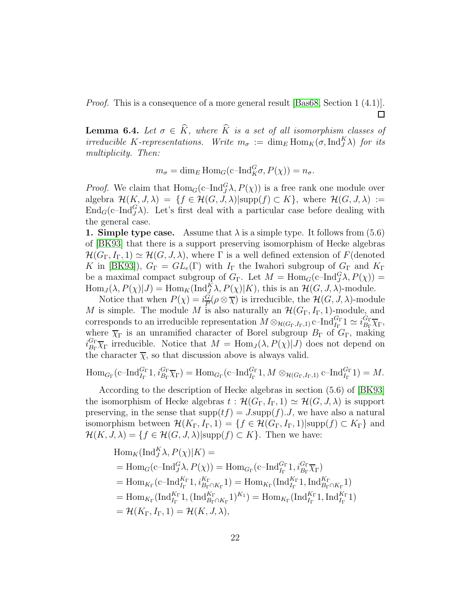*Proof.* This is a consequence of a more general result [\[Bas68,](#page-25-4) Section 1 (4.1)].  $\Box$ 

<span id="page-21-0"></span>**Lemma 6.4.** *Let*  $\sigma \in \widehat{K}$ *, where*  $\widehat{K}$  *is a set of all isomorphism classes of irreducible* K-representations. Write  $m_{\sigma} := \dim_E \text{Hom}_K(\sigma, \text{Ind}_{J}^{K} \lambda)$  *for its multiplicity. Then:*

$$
m_{\sigma} = \dim_E \operatorname{Hom}_G(\mathrm{c\text{--} Ind}_{K}^G \sigma, P(\chi)) = n_{\sigma}.
$$

*Proof.* We claim that  $\text{Hom}_G(c\text{-}\text{Ind}_J^G \lambda, P(\chi))$  is a free rank one module over algebra  $\mathcal{H}(K, J, \lambda) = \{f \in \mathcal{H}(G, J, \lambda)|\text{supp}(f) \subset K\}$ , where  $\mathcal{H}(G, J, \lambda) :=$  $\text{End}_G(\text{c-Ind}_{J}^G\lambda)$ . Let's first deal with a particular case before dealing with the general case.

1. Simple type case. Assume that  $\lambda$  is a simple type. It follows from (5.6) of [\[BK93\]](#page-26-0) that there is a support preserving isomorphism of Hecke algebras  $\mathcal{H}(G_{\Gamma}, I_{\Gamma}, 1) \simeq \mathcal{H}(G, J, \lambda)$ , where  $\Gamma$  is a well defined extension of  $F$ (denoted K in [\[BK93\]](#page-26-0)),  $G_{\Gamma} = GL_e(\Gamma)$  with  $I_{\Gamma}$  the Iwahori subgroup of  $G_{\Gamma}$  and  $K_{\Gamma}$ be a maximal compact subgroup of  $G_{\Gamma}$ . Let  $M = \text{Hom}_G(c-\text{Ind}_{J}^{G}\lambda, P(\chi)) =$  $\text{Hom}_J(\lambda, P(\chi)|J) = \text{Hom}_K(\text{Ind}_{J}^K \lambda, P(\chi)|K)$ , this is an  $\mathcal{H}(G, J, \lambda)$ -module.

Notice that when  $P(\chi) = i\frac{G}{R}$  $\frac{G}{P}(\rho \otimes \overline{\chi})$  is irreducible, the  $\mathcal{H}(G, J, \lambda)$ -module M is simple. The module M is also naturally an  $\mathcal{H}(G_{\Gamma}, I_{\Gamma}, 1)$ -module, and corresponds to an irreducible representation  $M \otimes_{\mathcal{H}(G_{\Gamma},I_{\Gamma},1)} \text{c-Ind}_{I_{\Gamma}}^{G_{\Gamma}} 1 \simeq i_{B_{\Gamma}}^{G_{\Gamma}}$  $\frac{G_{\Gamma}}{B_{\Gamma}}\overline{\chi}_{\Gamma},$ where  $\overline{\chi}_{\Gamma}$  is an unramified character of Borel subgroup  $B_{\Gamma}$  of  $G_{\Gamma}$ , making  $i_{B_{\Gamma}}^{G_{\Gamma}}$  $B_{\text{F}}^{\text{Gr}}\overline{\chi}_{\Gamma}$  irreducible. Notice that  $M = \text{Hom}_{J}(\lambda, P(\chi)|J)$  does not depend on the character  $\overline{\chi}$ , so that discussion above is always valid.

$$
\mathrm{Hom}_{G_{\Gamma}}(\mathrm{c\text{--} Ind}_{I_{\Gamma}}^{G_{\Gamma}} 1, i_{B_{\Gamma}}^{G_{\Gamma}} \overline{\chi}_{\Gamma}) = \mathrm{Hom}_{G_{\Gamma}}(\mathrm{c\text{--} Ind}_{I_{\Gamma}}^{G_{\Gamma}} 1, M \otimes_{\mathcal{H}(G_{\Gamma}, I_{\Gamma}, 1)} \mathrm{c\text{--} Ind}_{I_{\Gamma}}^{G_{\Gamma}} 1) = M.
$$

According to the description of Hecke algebras in section (5.6) of [\[BK93\]](#page-26-0) the isomorphism of Hecke algebras  $t : \mathcal{H}(G_{\Gamma}, I_{\Gamma}, 1) \simeq \mathcal{H}(G, J, \lambda)$  is support preserving, in the sense that  $\text{supp}(tf) = J.\text{supp}(f) \cdot J$ , we have also a natural isomorphism between  $\mathcal{H}(K_{\Gamma}, I_{\Gamma}, 1) = \{f \in \mathcal{H}(G_{\Gamma}, I_{\Gamma}, 1)| \text{supp}(f) \subset K_{\Gamma}\}\$ and  $\mathcal{H}(K, J, \lambda) = \{f \in \mathcal{H}(G, J, \lambda) | \text{supp}(f) \subset K\}.$  Then we have:

$$
Hom_K(Ind_J^K \lambda, P(\chi)|K) =
$$
  
= Hom<sub>G</sub>(c-Ind<sub>J</sub><sup>G</sup>λ, P(\chi)) = Hom<sub>G<sub>Γ</sub></sub>(c-Ind<sub>I<sub>Γ</sub></sub><sup>G<sub>Γ</sub></sup>1, *i*<sub>B<sub>Γ</sub></sub><sup>G<sub>Γ</sub></sup>  
= Hom<sub>K<sub>Γ</sub></sub>(c-Ind<sub>I<sub>Γ</sub></sub><sup>K<sub>Γ</sub></sup>1, *i*<sub>B<sub>Γ</sub><sup>G<sub>Γ</sub></sup><sub>K<sub>Γ</sub></sub>1) = Hom<sub>K<sub>Γ</sub></sub>(Ind<sub>I<sub>Γ</sub></sub><sup>K<sub>Γ</sub></sup>1, Ind<sub>B<sub>Γ</sub><sup>K<sub>Γ</sub></sup><sub>K<sub>Γ</sub></sub>1)  
= Hom<sub>K<sub>Γ</sub></sub>(Ind<sub>I<sub>Γ</sub></sub><sup>K<sub>Γ</sub></sup>1, (Ind<sub>B<sub>Γ</sub><sup>K<sub>Γ</sub></sup>1)<sup>K<sub>1</sub></sup>) = Hom<sub>K<sub>Γ</sub></sub>(Ind<sub>I<sub>Γ</sub></sub><sup>K<sub>Γ</sub></sup>1, Ind<sub>I<sub>Γ</sub></sub><sup>K<sub>Γ</sub></sup>1)  
= H(K<sub>Γ</sub>, I<sub>Γ</sub>, 1) = H(K, J, λ),</sub></sub></sub>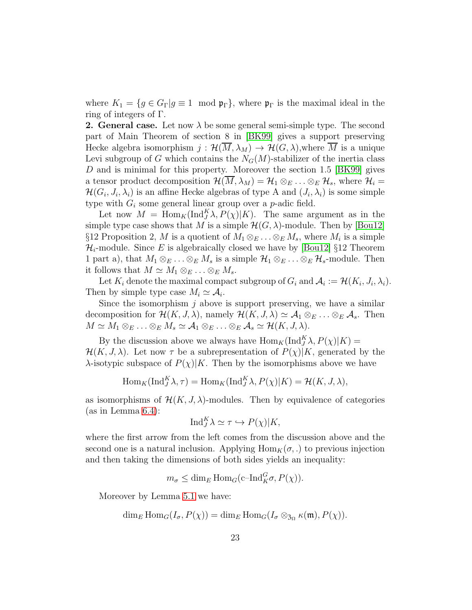where  $K_1 = \{g \in G_\Gamma | g \equiv 1 \mod \mathfrak{p}_\Gamma\}$ , where  $\mathfrak{p}_\Gamma$  is the maximal ideal in the ring of integers of Γ.

**2. General case.** Let now  $\lambda$  be some general semi-simple type. The second part of Main Theorem of section 8 in [\[BK99\]](#page-26-2) gives a support preserving Hecke algebra isomorphism  $j : \mathcal{H}(M, \lambda_M) \to \mathcal{H}(G, \lambda)$ , where M is a unique Levi subgroup of G which contains the  $N_G(M)$ -stabilizer of the inertia class D and is minimal for this property. Moreover the section 1.5 [\[BK99\]](#page-26-2) gives a tensor product decomposition  $\mathcal{H}(M, \lambda_M) = \mathcal{H}_1 \otimes_E \ldots \otimes_E \mathcal{H}_s$ , where  $\mathcal{H}_i =$  $\mathcal{H}(G_i, J_i, \lambda_i)$  is an affine Hecke algebras of type A and  $(J_i, \lambda_i)$  is some simple type with  $G_i$  some general linear group over a *p*-adic field.

Let now  $M = \text{Hom}_K(\text{Ind}_J^K \lambda, P(\chi)|K)$ . The same argument as in the simple type case shows that M is a simple  $\mathcal{H}(G,\lambda)$ -module. Then by [\[Bou12\]](#page-26-5) §12 Proposition 2, M is a quotient of  $M_1 \otimes_E \ldots \otimes_E M_s$ , where  $M_i$  is a simple  $\mathcal{H}_i$ -module. Since E is algebraically closed we have by [\[Bou12\]](#page-26-5) §12 Theorem 1 part a), that  $M_1 \otimes_E \ldots \otimes_E M_s$  is a simple  $\mathcal{H}_1 \otimes_E \ldots \otimes_E \mathcal{H}_s$ -module. Then it follows that  $M \simeq M_1 \otimes_E \ldots \otimes_E M_s$ .

Let  $K_i$  denote the maximal compact subgroup of  $G_i$  and  $\mathcal{A}_i := \mathcal{H}(K_i, J_i, \lambda_i)$ . Then by simple type case  $M_i \simeq A_i$ .

Since the isomorphism  $j$  above is support preserving, we have a similar decomposition for  $\mathcal{H}(K, J, \lambda)$ , namely  $\mathcal{H}(K, J, \lambda) \simeq \mathcal{A}_1 \otimes_E \ldots \otimes_E \mathcal{A}_s$ . Then  $M \simeq M_1 \otimes_E \ldots \otimes_E M_s \simeq A_1 \otimes_E \ldots \otimes_E A_s \simeq \mathcal{H}(K, J, \lambda).$ 

By the discussion above we always have  $\text{Hom}_K(\text{Ind}_{J}^K \lambda, P(\chi)|K) =$  $\mathcal{H}(K, J, \lambda)$ . Let now  $\tau$  be a subrepresentation of  $P(\chi)|K$ , generated by the  $\lambda$ -isotypic subspace of  $P(\chi)|K$ . Then by the isomorphisms above we have

$$
\operatorname{Hom}_{K}(\operatorname{Ind}_{J}^{K}\lambda, \tau) = \operatorname{Hom}_{K}(\operatorname{Ind}_{J}^{K}\lambda, P(\chi)|K) = \mathcal{H}(K, J, \lambda),
$$

as isomorphisms of  $\mathcal{H}(K, J, \lambda)$ -modules. Then by equivalence of categories (as in Lemma [6.4\)](#page-21-0):

$$
\mathrm{Ind}_{J}^{K} \lambda \simeq \tau \hookrightarrow P(\chi)|K,
$$

where the first arrow from the left comes from the discussion above and the second one is a natural inclusion. Applying  $\text{Hom}_K(\sigma, \cdot)$  to previous injection and then taking the dimensions of both sides yields an inequality:

 $m_{\sigma} \leq \dim_E \text{Hom}_G(c-\text{Ind}_K^G \sigma, P(\chi)).$ 

Moreover by Lemma [5.1](#page-15-1) we have:

$$
\dim_E \text{Hom}_G(I_\sigma, P(\chi)) = \dim_E \text{Hom}_G(I_\sigma \otimes_{\mathfrak{Z}_{\Omega}} \kappa(\mathfrak{m}), P(\chi)).
$$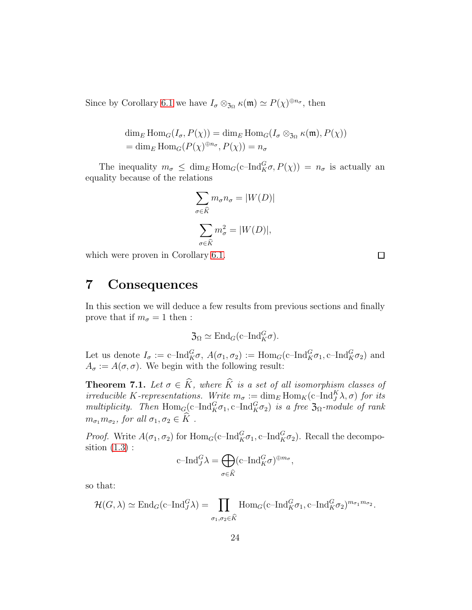Since by Corollary [6.1](#page-16-1) we have  $I_{\sigma} \otimes_{\mathfrak{Z}_{\Omega}} \kappa(\mathfrak{m}) \simeq P(\chi)^{\oplus n_{\sigma}}$ , then

$$
\dim_E \text{Hom}_G(I_\sigma, P(\chi)) = \dim_E \text{Hom}_G(I_\sigma \otimes_{\mathfrak{Z}_{\Omega}} \kappa(\mathfrak{m}), P(\chi))
$$
  
= 
$$
\dim_E \text{Hom}_G(P(\chi)^{\oplus n_\sigma}, P(\chi)) = n_\sigma
$$

The inequality  $m_{\sigma} \leq \dim_E \text{Hom}_G(c-\text{Ind}_K^G \sigma, P(\chi)) = n_{\sigma}$  is actually an equality because of the relations

$$
\sum_{\sigma \in \widehat{K}} m_{\sigma} n_{\sigma} = |W(D)|
$$

$$
\sum_{\sigma \in \widehat{K}} m_{\sigma}^2 = |W(D)|,
$$

<span id="page-23-0"></span>which were proven in Corollary [6.1.](#page-16-1)

 $\Box$ 

## 7 Consequences

In this section we will deduce a few results from previous sections and finally prove that if  $m_{\sigma} = 1$  then :

$$
\mathfrak{Z}_{\Omega} \simeq \mathrm{End}_G(\mathrm{c\text{--} Ind}_{K}^{G} \sigma).
$$

Let us denote  $I_{\sigma} := \text{c-Ind}_{K}^{G} \sigma$ ,  $A(\sigma_1, \sigma_2) := \text{Hom}_{G}(\text{c-Ind}_{K}^{G} \sigma_1, \text{c-Ind}_{K}^{G} \sigma_2)$  and  $A_{\sigma} := A(\sigma, \sigma)$ . We begin with the following result:

**Theorem 7.1.** Let  $\sigma \in \widehat{K}$ *, where*  $\widehat{K}$  *is a set of all isomorphism classes of irreducible* K-representations. Write  $m_{\sigma} := \dim_E \text{Hom}_K(c-\text{Ind}_{J}^{K}\lambda, \sigma)$  for its *multiplicity. Then*  $Hom_G(c-Ind_K^G\sigma_1, c-Ind_K^G\sigma_2)$  *is a free*  $\mathfrak{Z}_{\Omega}$ *-module of rank*  $m_{\sigma_1} m_{\sigma_2}$ , for all  $\sigma_1, \sigma_2 \in K$ .

*Proof.* Write  $A(\sigma_1, \sigma_2)$  for  $\text{Hom}_G(c-\text{Ind}_K^G \sigma_1, c-\text{Ind}_K^G \sigma_2)$ . Recall the decomposition  $(1.3)$ :

$$
\mathrm{c\text{--} Ind}_{J}^{G} \lambda = \bigoplus_{\sigma \in \widehat{K}} (\mathrm{c\text{--} Ind}_{K}^{G} \sigma)^{\oplus m_{\sigma}},
$$

so that:

$$
\mathcal{H}(G,\lambda) \simeq \mathrm{End}_G(\mathrm{c\text{--} Ind}_{J}^G \lambda) = \prod_{\sigma_1, \sigma_2 \in \widehat{K}} \mathrm{Hom}_G(\mathrm{c\text{--} Ind}_{K}^G \sigma_1, \mathrm{c\text{--} Ind}_{K}^G \sigma_2)^{m_{\sigma_1} m_{\sigma_2}}.
$$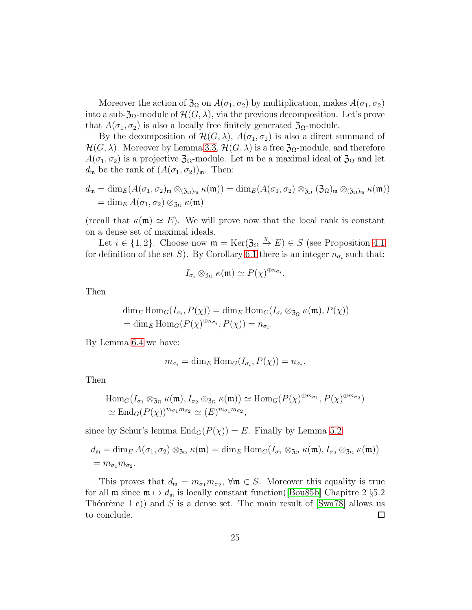Moreover the action of  $\mathfrak{Z}_\Omega$  on  $A(\sigma_1, \sigma_2)$  by multiplication, makes  $A(\sigma_1, \sigma_2)$ into a sub- $\mathfrak{Z}_{\Omega}$ -module of  $\mathcal{H}(G,\lambda)$ , via the previous decomposition. Let's prove that  $A(\sigma_1, \sigma_2)$  is also a locally free finitely generated  $\mathfrak{Z}_{\Omega}$ -module.

By the decomposition of  $\mathcal{H}(G,\lambda), A(\sigma_1,\sigma_2)$  is also a direct summand of  $\mathcal{H}(G,\lambda)$ . Moreover by Lemma [3.3,](#page-11-1)  $\mathcal{H}(G,\lambda)$  is a free  $\mathfrak{Z}_{\Omega}$ -module, and therefore  $A(\sigma_1, \sigma_2)$  is a projective  $\mathfrak{Z}_{\Omega}$ -module. Let m be a maximal ideal of  $\mathfrak{Z}_{\Omega}$  and let  $d_{\mathfrak{m}}$  be the rank of  $(A(\sigma_1, \sigma_2))_{\mathfrak{m}}$ . Then:

$$
d_{\mathfrak{m}} = \dim_E(A(\sigma_1, \sigma_2)_{\mathfrak{m}} \otimes_{(3\Omega)\mathfrak{m}} \kappa(\mathfrak{m})) = \dim_E(A(\sigma_1, \sigma_2) \otimes_{3\Omega} (3\Omega)_{\mathfrak{m}} \otimes_{(3\Omega)\mathfrak{m}} \kappa(\mathfrak{m}))
$$
  
= 
$$
\dim_E A(\sigma_1, \sigma_2) \otimes_{3\Omega} \kappa(\mathfrak{m})
$$

(recall that  $\kappa(\mathfrak{m}) \simeq E$ ). We will prove now that the local rank is constant on a dense set of maximal ideals.

Let  $i \in \{1, 2\}$ . Choose now  $\mathfrak{m} = \text{Ker}(\mathfrak{Z}_{\Omega} \stackrel{\chi}{\to} E) \in S$  (see Proposition [4.1](#page-12-1)) for definition of the set S). By Corollary [6.1](#page-16-1) there is an integer  $n_{\sigma_i}$  such that:

$$
I_{\sigma_i} \otimes_{\mathfrak{Z}_{\Omega}} \kappa(\mathfrak{m}) \simeq P(\chi)^{\oplus n_{\sigma_i}}.
$$

Then

$$
\dim_E \text{Hom}_G(I_{\sigma_i}, P(\chi)) = \dim_E \text{Hom}_G(I_{\sigma_i} \otimes_{\mathfrak{Z}_{\Omega}} \kappa(\mathfrak{m}), P(\chi))
$$
  
= 
$$
\dim_E \text{Hom}_G(P(\chi)^{\oplus n_{\sigma_i}}, P(\chi)) = n_{\sigma_i}.
$$

By Lemma [6.4](#page-21-0) we have:

$$
m_{\sigma_i} = \dim_E \operatorname{Hom}_G(I_{\sigma_i}, P(\chi)) = n_{\sigma_i}.
$$

Then

$$
\text{Hom}_G(I_{\sigma_1} \otimes_{\mathfrak{Z}_{\Omega}} \kappa(\mathfrak{m}), I_{\sigma_2} \otimes_{\mathfrak{Z}_{\Omega}} \kappa(\mathfrak{m})) \simeq \text{Hom}_G(P(\chi)^{\oplus m_{\sigma_1}}, P(\chi)^{\oplus m_{\sigma_2}})
$$
  

$$
\simeq \text{End}_G(P(\chi))^{m_{\sigma_1} m_{\sigma_2}} \simeq (E)^{m_{\sigma_1} m_{\sigma_2}},
$$

since by Schur's lemma  $\text{End}_G(P(\chi)) = E$ . Finally by Lemma [5.2](#page-16-2)

$$
d_{\mathfrak{m}} = \dim_E A(\sigma_1, \sigma_2) \otimes_{\mathfrak{Z}_{\Omega}} \kappa(\mathfrak{m}) = \dim_E \mathrm{Hom}_G(I_{\sigma_1} \otimes_{\mathfrak{Z}_{\Omega}} \kappa(\mathfrak{m}), I_{\sigma_2} \otimes_{\mathfrak{Z}_{\Omega}} \kappa(\mathfrak{m}))
$$
  
=  $m_{\sigma_1} m_{\sigma_2}$ .

This proves that  $d_{\mathfrak{m}} = m_{\sigma_1} m_{\sigma_2}$ ,  $\forall \mathfrak{m} \in S$ . Moreover this equality is true for all  $\mathfrak{m}$  since  $\mathfrak{m} \mapsto d_{\mathfrak{m}}$  is locally constant function([\[Bou85b\]](#page-26-6) Chapitre 2 §5.2 Théorème 1 c)) and S is a dense set. The main result of [\[Swa78\]](#page-28-4) allows us to conclude.  $\Box$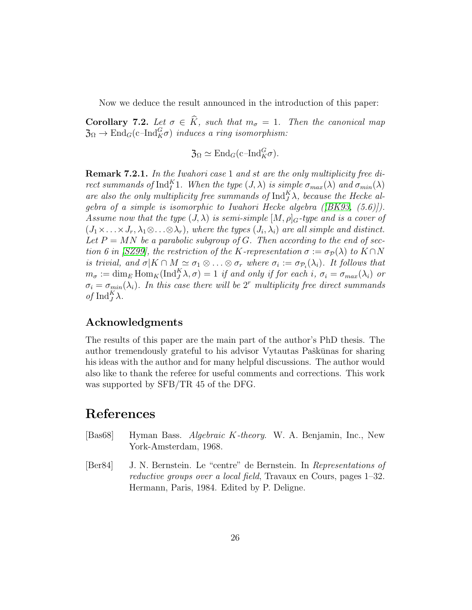Now we deduce the result announced in the introduction of this paper:

<span id="page-25-2"></span>**Corollary 7.2.** Let  $\sigma \in \widehat{K}$ *, such that*  $m_{\sigma} = 1$ *. Then the canonical map*  $\mathfrak{Z}_{\Omega} \to \text{End}_{G}(\text{c-Ind}_{K}^{G} \sigma)$  *induces a ring isomorphism:* 

 $\mathfrak{Z}_{\Omega} \simeq \mathrm{End}_G(\mathrm{c\text{--} Ind}_{K}^{G} \sigma).$ 

<span id="page-25-1"></span>Remark 7.2.1. *In the Iwahori case* 1 *and* st *are the only multiplicity free direct summands of*  $\text{Ind}_{I}^{K}$ 1*. When the type*  $(J, \lambda)$  *is simple*  $\sigma_{max}(\lambda)$  *and*  $\sigma_{min}(\lambda)$ are also the only multiplicity free summands of  $\text{Ind}_{J}^{K} \lambda$ , because the Hecke al*gebra of a simple is isomorphic to Iwahori Hecke algebra ([\[BK93,](#page-26-0) (5.6)]). Assume now that the type*  $(J, \lambda)$  *is semi-simple*  $[M, \rho]_G$ -type and *is a cover of*  $(J_1 \times \ldots \times J_r, \lambda_1 \otimes \ldots \otimes \lambda_r)$ *, where the types*  $(J_i, \lambda_i)$  *are all simple and distinct.* Let  $P = MN$  be a parabolic subgroup of G. Then according to the end of sec*tion 6 in [SZ99], the restriction of the* K-representation  $\sigma := \sigma_{\mathcal{P}}(\lambda)$  *to* K ∩ N *is trivial, and*  $\sigma | K \cap M \simeq \sigma_1 \otimes \ldots \otimes \sigma_r$  where  $\sigma_i := \sigma_{\mathcal{P}_i}(\lambda_i)$ . It follows that  $m_{\sigma} := \dim_E \text{Hom}_K(\text{Ind}_{J}^{K} \lambda, \sigma) = 1$  *if and only if for each i*,  $\sigma_i = \sigma_{max}(\lambda_i)$  *or*  $\sigma_i = \sigma_{min}(\lambda_i)$ . In this case there will be 2<sup>r</sup> multiplicity free direct summands  $of \operatorname{Ind}_{J}^{K} \lambda.$ 

### <span id="page-25-0"></span>Acknowledgments

The results of this paper are the main part of the author's PhD thesis. The author tremendously grateful to his advisor Vytautas Paškūnas for sharing his ideas with the author and for many helpful discussions. The author would also like to thank the referee for useful comments and corrections. This work was supported by SFB/TR 45 of the DFG.

## References

- <span id="page-25-4"></span>[Bas68] Hyman Bass. *Algebraic* K*-theory*. W. A. Benjamin, Inc., New York-Amsterdam, 1968.
- <span id="page-25-3"></span>[Ber84] J. N. Bernstein. Le "centre" de Bernstein. In *Representations of reductive groups over a local field*, Travaux en Cours, pages 1–32. Hermann, Paris, 1984. Edited by P. Deligne.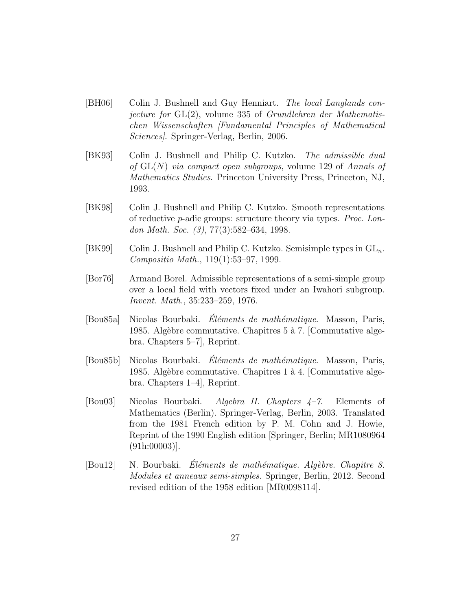- [BH06] Colin J. Bushnell and Guy Henniart. *The local Langlands conjecture for* GL(2), volume 335 of *Grundlehren der Mathematischen Wissenschaften [Fundamental Principles of Mathematical Sciences]*. Springer-Verlag, Berlin, 2006.
- <span id="page-26-0"></span>[BK93] Colin J. Bushnell and Philip C. Kutzko. *The admissible dual of* GL(N) *via compact open subgroups*, volume 129 of *Annals of Mathematics Studies*. Princeton University Press, Princeton, NJ, 1993.
- <span id="page-26-1"></span>[BK98] Colin J. Bushnell and Philip C. Kutzko. Smooth representations of reductive p-adic groups: structure theory via types. *Proc. London Math. Soc. (3)*, 77(3):582–634, 1998.
- <span id="page-26-2"></span>[BK99] Colin J. Bushnell and Philip C. Kutzko. Semisimple types in  $GL_n$ . *Compositio Math.*, 119(1):53–97, 1999.
- [Bor76] Armand Borel. Admissible representations of a semi-simple group over a local field with vectors fixed under an Iwahori subgroup. *Invent. Math.*, 35:233–259, 1976.
- <span id="page-26-3"></span>[Bou85a] Nicolas Bourbaki. *El´ements de math´ematique ´* . Masson, Paris, 1985. Algèbre commutative. Chapitres 5 à 7. [Commutative algebra. Chapters 5–7], Reprint.
- <span id="page-26-6"></span>[Bou85b] Nicolas Bourbaki. *Éléments de mathématique*. Masson, Paris, 1985. Algèbre commutative. Chapitres 1 à 4. [Commutative algebra. Chapters 1–4], Reprint.
- <span id="page-26-4"></span>[Bou03] Nicolas Bourbaki. *Algebra II. Chapters 4–7*. Elements of Mathematics (Berlin). Springer-Verlag, Berlin, 2003. Translated from the 1981 French edition by P. M. Cohn and J. Howie, Reprint of the 1990 English edition [Springer, Berlin; MR1080964 (91h:00003)].
- <span id="page-26-5"></span>[Bou12] N. Bourbaki. *Eléments de mathématique. Algèbre. Chapitre 8. Modules et anneaux semi-simples*. Springer, Berlin, 2012. Second revised edition of the 1958 edition [MR0098114].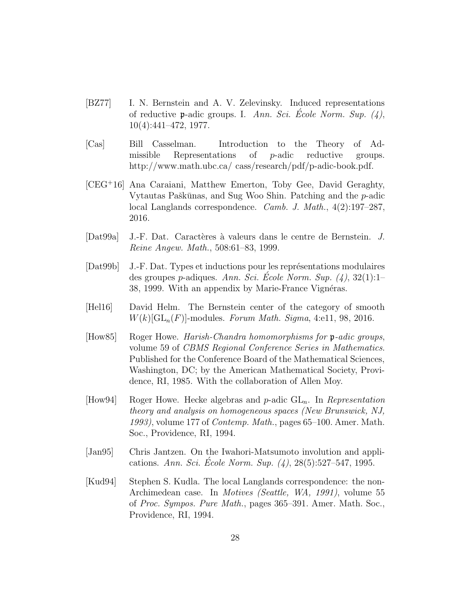- [BZ77] I. N. Bernstein and A. V. Zelevinsky. Induced representations of reductive p-adic groups. I. *Ann. Sci. Ecole Norm. Sup. (4) ´* , 10(4):441–472, 1977.
- [Cas] Bill Casselman. Introduction to the Theory of Admissible Representations of p-adic reductive groups. http://www.math.ubc.ca/ cass/research/pdf/p-adic-book.pdf.
- <span id="page-27-3"></span>[CEG<sup>+</sup>16] Ana Caraiani, Matthew Emerton, Toby Gee, David Geraghty, Vytautas Paškūnas, and Sug Woo Shin. Patching and the  $p$ -adic local Langlands correspondence. *Camb. J. Math.*, 4(2):197–287, 2016.
- <span id="page-27-0"></span>[Dat99a] J.-F. Dat. Caractères à valeurs dans le centre de Bernstein. *J. Reine Angew. Math.*, 508:61–83, 1999.
- <span id="page-27-4"></span>[Dat99b] J.-F. Dat. Types et inductions pour les représentations modulaires des groupes *p*-adiques. *Ann. Sci. Ecole Norm. Sup.*  $(4)$ , 32(1):1– 38, 1999. With an appendix by Marie-France Vignéras.
- <span id="page-27-1"></span>[Hel16] David Helm. The Bernstein center of the category of smooth  $W(k)[GL_n(F)]$ -modules. *Forum Math. Sigma*, 4:e11, 98, 2016.
- [How85] Roger Howe. *Harish-Chandra homomorphisms for* p*-adic groups*, volume 59 of *CBMS Regional Conference Series in Mathematics*. Published for the Conference Board of the Mathematical Sciences, Washington, DC; by the American Mathematical Society, Providence, RI, 1985. With the collaboration of Allen Moy.
- [How94] Roger Howe. Hecke algebras and p-adic GLn. In *Representation theory and analysis on homogeneous spaces (New Brunswick, NJ, 1993)*, volume 177 of *Contemp. Math.*, pages 65–100. Amer. Math. Soc., Providence, RI, 1994.
- <span id="page-27-2"></span>[Jan95] Chris Jantzen. On the Iwahori-Matsumoto involution and applications. *Ann. Sci. Ecole Norm. Sup. (4) ´* , 28(5):527–547, 1995.
- [Kud94] Stephen S. Kudla. The local Langlands correspondence: the non-Archimedean case. In *Motives (Seattle, WA, 1991)*, volume 55 of *Proc. Sympos. Pure Math.*, pages 365–391. Amer. Math. Soc., Providence, RI, 1994.